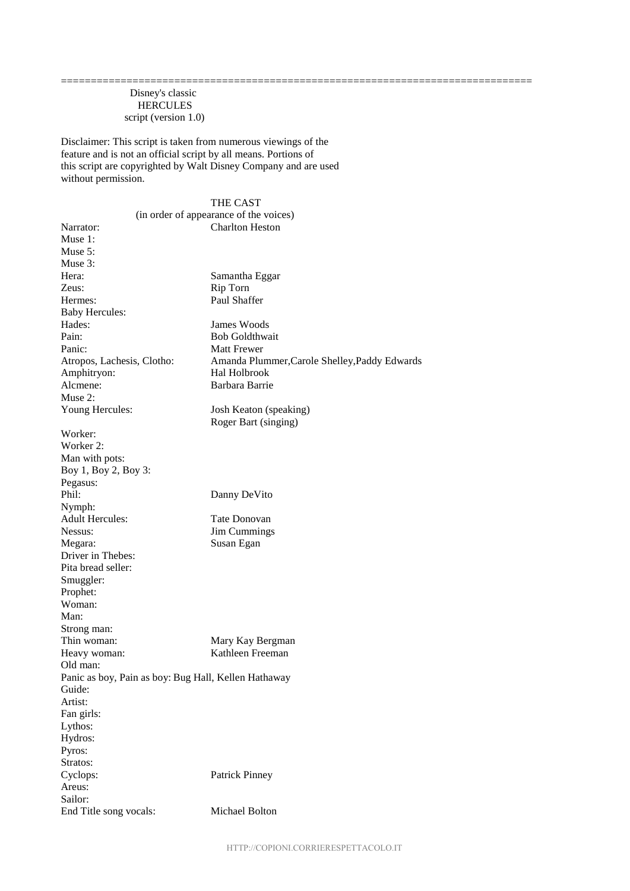## Disney's classic **HERCULES** script (version 1.0)

Disclaimer: This script is taken from numerous viewings of the feature and is not an official script by all means. Portions of this script are copyrighted by Walt Disney Company and are used without permission.

===============================================================================

| THE CAST<br>(in order of appearance of the voices)   |                                               |
|------------------------------------------------------|-----------------------------------------------|
|                                                      | <b>Charlton Heston</b>                        |
| Narrator:                                            |                                               |
| Muse 1:                                              |                                               |
| Muse 5:                                              |                                               |
| Muse 3:                                              |                                               |
| Hera:                                                | Samantha Eggar                                |
| Zeus:                                                | <b>Rip Torn</b>                               |
| Hermes:                                              | Paul Shaffer                                  |
| <b>Baby Hercules:</b>                                |                                               |
| Hades:                                               | James Woods                                   |
| Pain:                                                | <b>Bob Goldthwait</b>                         |
| Panic:                                               | Matt Frewer                                   |
| Atropos, Lachesis, Clotho:                           | Amanda Plummer, Carole Shelley, Paddy Edwards |
| Amphitryon:                                          | Hal Holbrook                                  |
| Alcmene:                                             | Barbara Barrie                                |
| Muse 2:                                              |                                               |
| Young Hercules:                                      | Josh Keaton (speaking)                        |
|                                                      | Roger Bart (singing)                          |
| Worker:                                              |                                               |
| Worker 2:                                            |                                               |
| Man with pots:                                       |                                               |
| Boy 1, Boy 2, Boy 3:                                 |                                               |
| Pegasus:                                             |                                               |
| Phil:                                                | Danny DeVito                                  |
| Nymph:                                               |                                               |
| <b>Adult Hercules:</b>                               | Tate Donovan                                  |
| Nessus:                                              | <b>Jim Cummings</b>                           |
| Megara:                                              | Susan Egan                                    |
| Driver in Thebes:                                    |                                               |
| Pita bread seller:                                   |                                               |
| Smuggler:                                            |                                               |
| Prophet:                                             |                                               |
| Woman:                                               |                                               |
| Man:                                                 |                                               |
| Strong man:                                          |                                               |
| Thin woman:                                          | Mary Kay Bergman                              |
| Heavy woman:                                         | Kathleen Freeman                              |
| Old man:                                             |                                               |
| Panic as boy, Pain as boy: Bug Hall, Kellen Hathaway |                                               |
| Guide:                                               |                                               |
| Artist:                                              |                                               |
|                                                      |                                               |
| Fan girls:                                           |                                               |
| Lythos:                                              |                                               |
| Hydros:                                              |                                               |
| Pyros:                                               |                                               |
| Stratos:                                             |                                               |
| Cyclops:                                             | Patrick Pinney                                |
| Areus:                                               |                                               |
| Sailor:                                              |                                               |
| End Title song vocals:                               | <b>Michael Bolton</b>                         |
|                                                      |                                               |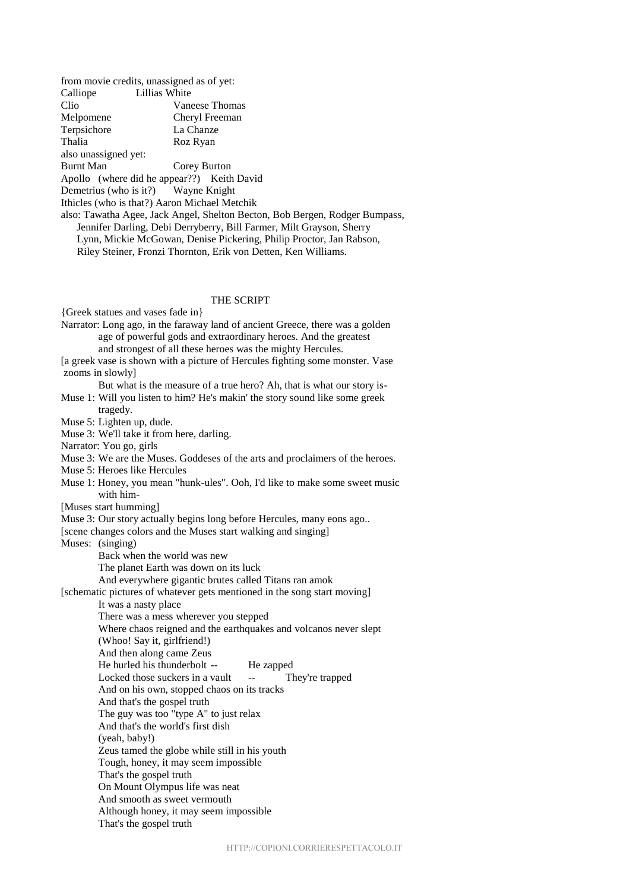from movie credits, unassigned as of yet: Calliope Lillias White Clio Vaneese Thomas Melpomene Cheryl Freeman Terpsichore La Chanze Thalia Roz Ryan also unassigned yet: Burnt Man Corey Burton Apollo (where did he appear??) Keith David Demetrius (who is it?) Wayne Knight Ithicles (who is that?) Aaron Michael Metchik also: Tawatha Agee, Jack Angel, Shelton Becton, Bob Bergen, Rodger Bumpass, Jennifer Darling, Debi Derryberry, Bill Farmer, Milt Grayson, Sherry Lynn, Mickie McGowan, Denise Pickering, Philip Proctor, Jan Rabson, Riley Steiner, Fronzi Thornton, Erik von Detten, Ken Williams.

THE SCRIPT

{Greek statues and vases fade in} Narrator: Long ago, in the faraway land of ancient Greece, there was a golden age of powerful gods and extraordinary heroes. And the greatest and strongest of all these heroes was the mighty Hercules. [a greek vase is shown with a picture of Hercules fighting some monster. Vase zooms in slowly] But what is the measure of a true hero? Ah, that is what our story is-Muse 1: Will you listen to him? He's makin' the story sound like some greek tragedy. Muse 5: Lighten up, dude. Muse 3: We'll take it from here, darling. Narrator: You go, girls Muse 3: We are the Muses. Goddeses of the arts and proclaimers of the heroes. Muse 5: Heroes like Hercules Muse 1: Honey, you mean "hunk-ules". Ooh, I'd like to make some sweet music with him- [Muses start humming] Muse 3: Our story actually begins long before Hercules, many eons ago.. [scene changes colors and the Muses start walking and singing] Muses: (singing) Back when the world was new The planet Earth was down on its luck And everywhere gigantic brutes called Titans ran amok [schematic pictures of whatever gets mentioned in the song start moving] It was a nasty place There was a mess wherever you stepped Where chaos reigned and the earthquakes and volcanos never slept (Whoo! Say it, girlfriend!) And then along came Zeus He hurled his thunderbolt -- He zapped Locked those suckers in a vault -- They're trapped And on his own, stopped chaos on its tracks And that's the gospel truth The guy was too "type A" to just relax And that's the world's first dish (yeah, baby!) Zeus tamed the globe while still in his youth Tough, honey, it may seem impossible That's the gospel truth On Mount Olympus life was neat And smooth as sweet vermouth Although honey, it may seem impossible That's the gospel truth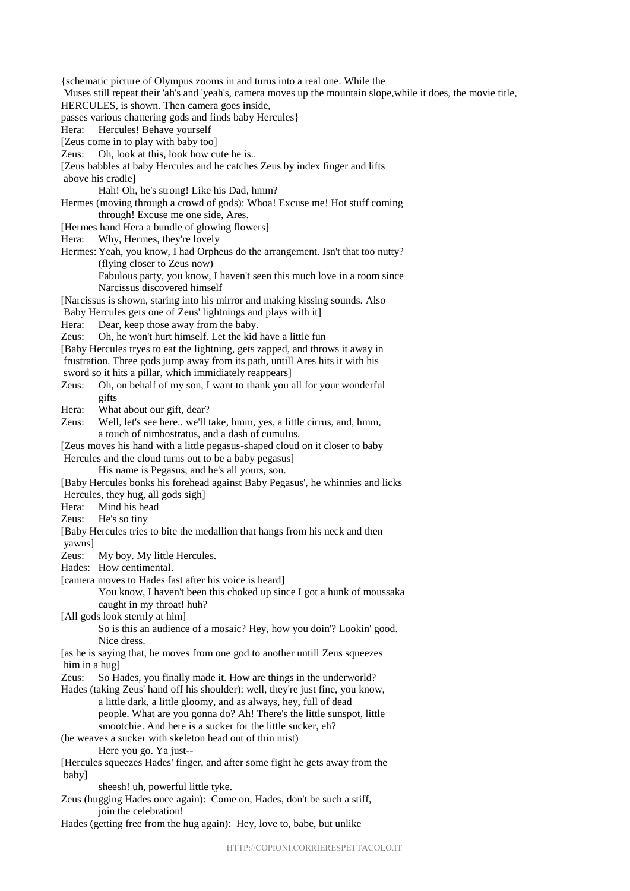{schematic picture of Olympus zooms in and turns into a real one. While the Muses still repeat their 'ah's and 'yeah's, camera moves up the mountain slope,while it does, the movie title, HERCULES, is shown. Then camera goes inside, passes various chattering gods and finds baby Hercules} Hera: Hercules! Behave yourself [Zeus come in to play with baby too] Zeus: Oh, look at this, look how cute he is.. [Zeus babbles at baby Hercules and he catches Zeus by index finger and lifts above his cradle] Hah! Oh, he's strong! Like his Dad, hmm? Hermes (moving through a crowd of gods): Whoa! Excuse me! Hot stuff coming through! Excuse me one side, Ares. [Hermes hand Hera a bundle of glowing flowers] Hera: Why, Hermes, they're lovely Hermes: Yeah, you know, I had Orpheus do the arrangement. Isn't that too nutty? (flying closer to Zeus now) Fabulous party, you know, I haven't seen this much love in a room since Narcissus discovered himself [Narcissus is shown, staring into his mirror and making kissing sounds. Also Baby Hercules gets one of Zeus' lightnings and plays with it] Hera: Dear, keep those away from the baby. Zeus: Oh, he won't hurt himself. Let the kid have a little fun [Baby Hercules tryes to eat the lightning, gets zapped, and throws it away in frustration. Three gods jump away from its path, untill Ares hits it with his sword so it hits a pillar, which immidiately reappears] Zeus: Oh, on behalf of my son, I want to thank you all for your wonderful gifts Hera: What about our gift, dear? Zeus: Well, let's see here.. we'll take, hmm, yes, a little cirrus, and, hmm, a touch of nimbostratus, and a dash of cumulus. [Zeus moves his hand with a little pegasus-shaped cloud on it closer to baby Hercules and the cloud turns out to be a baby pegasus] His name is Pegasus, and he's all yours, son. [Baby Hercules bonks his forehead against Baby Pegasus', he whinnies and licks Hercules, they hug, all gods sigh] Hera: Mind his head Zeus: He's so tiny [Baby Hercules tries to bite the medallion that hangs from his neck and then yawns] Zeus: My boy. My little Hercules. Hades: How centimental. [camera moves to Hades fast after his voice is heard] You know, I haven't been this choked up since I got a hunk of moussaka caught in my throat! huh? [All gods look sternly at him] So is this an audience of a mosaic? Hey, how you doin'? Lookin' good. Nice dress. [as he is saying that, he moves from one god to another untill Zeus squeezes him in a hug] Zeus: So Hades, you finally made it. How are things in the underworld? Hades (taking Zeus' hand off his shoulder): well, they're just fine, you know, a little dark, a little gloomy, and as always, hey, full of dead people. What are you gonna do? Ah! There's the little sunspot, little smootchie. And here is a sucker for the little sucker, eh? (he weaves a sucker with skeleton head out of thin mist) Here you go. Ya just-- [Hercules squeezes Hades' finger, and after some fight he gets away from the baby] sheesh! uh, powerful little tyke. Zeus (hugging Hades once again): Come on, Hades, don't be such a stiff, join the celebration! Hades (getting free from the hug again): Hey, love to, babe, but unlike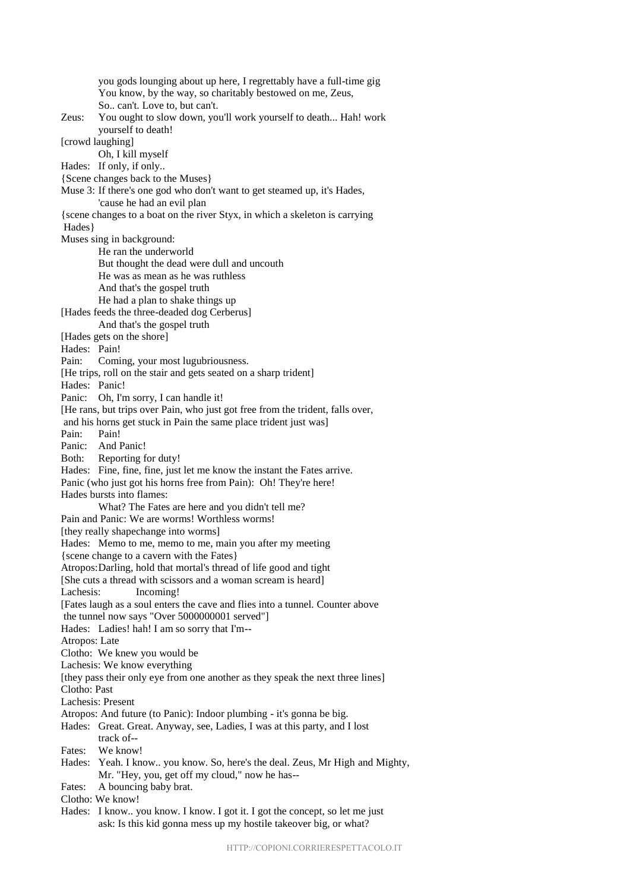you gods lounging about up here, I regrettably have a full-time gig You know, by the way, so charitably bestowed on me, Zeus, So.. can't. Love to, but can't. Zeus: You ought to slow down, you'll work yourself to death... Hah! work yourself to death! [crowd laughing] Oh, I kill myself Hades: If only, if only.. {Scene changes back to the Muses} Muse 3: If there's one god who don't want to get steamed up, it's Hades, 'cause he had an evil plan {scene changes to a boat on the river Styx, in which a skeleton is carrying Hades} Muses sing in background: He ran the underworld But thought the dead were dull and uncouth He was as mean as he was ruthless And that's the gospel truth He had a plan to shake things up [Hades feeds the three-deaded dog Cerberus] And that's the gospel truth [Hades gets on the shore] Hades: Pain! Pain: Coming, your most lugubriousness. [He trips, roll on the stair and gets seated on a sharp trident] Hades: Panic! Panic: Oh, I'm sorry, I can handle it! [He rans, but trips over Pain, who just got free from the trident, falls over, and his horns get stuck in Pain the same place trident just was] Pain: Pain! Panic: And Panic!<br>Both: Reporting f Reporting for duty! Hades: Fine, fine, fine, just let me know the instant the Fates arrive. Panic (who just got his horns free from Pain): Oh! They're here! Hades bursts into flames: What? The Fates are here and you didn't tell me? Pain and Panic: We are worms! Worthless worms! [they really shapechange into worms] Hades: Memo to me, memo to me, main you after my meeting {scene change to a cavern with the Fates} Atropos:Darling, hold that mortal's thread of life good and tight [She cuts a thread with scissors and a woman scream is heard] Lachesis: Incoming! [Fates laugh as a soul enters the cave and flies into a tunnel. Counter above the tunnel now says "Over 5000000001 served"] Hades: Ladies! hah! I am so sorry that I'm-- Atropos: Late Clotho: We knew you would be Lachesis: We know everything [they pass their only eye from one another as they speak the next three lines] Clotho: Past Lachesis: Present Atropos: And future (to Panic): Indoor plumbing - it's gonna be big. Hades: Great. Great. Anyway, see, Ladies, I was at this party, and I lost track of-- Fates: We know! Hades: Yeah. I know.. you know. So, here's the deal. Zeus, Mr High and Mighty, Mr. "Hey, you, get off my cloud," now he has-- Fates: A bouncing baby brat. Clotho: We know! Hades: I know.. you know. I know. I got it. I got the concept, so let me just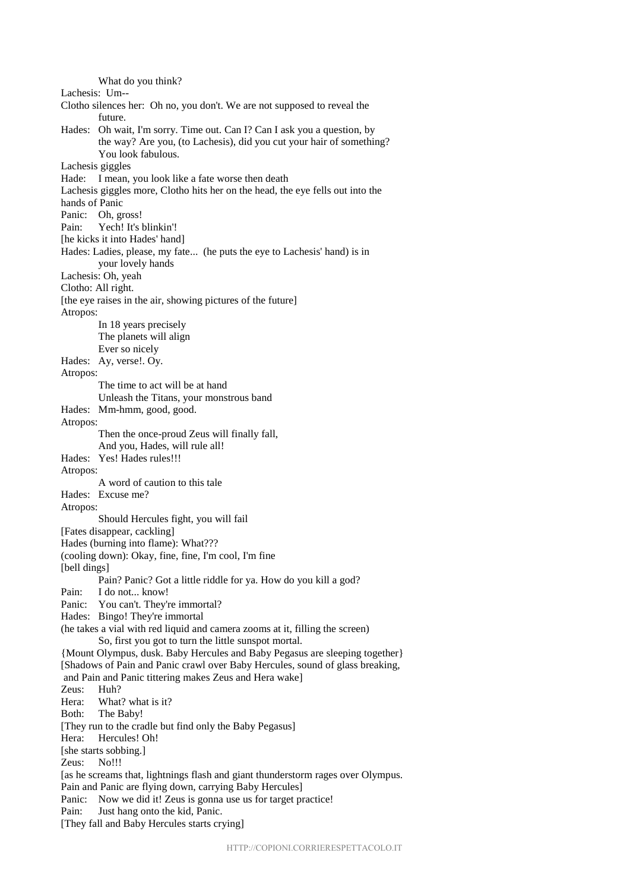What do you think? Lachesis: Um-- Clotho silences her: Oh no, you don't. We are not supposed to reveal the future. Hades: Oh wait, I'm sorry. Time out. Can I? Can I ask you a question, by the way? Are you, (to Lachesis), did you cut your hair of something? You look fabulous. Lachesis giggles Hade: I mean, you look like a fate worse then death Lachesis giggles more, Clotho hits her on the head, the eye fells out into the hands of Panic Panic: Oh, gross! Pain: Yech! It's blinkin'! [he kicks it into Hades' hand] Hades: Ladies, please, my fate... (he puts the eye to Lachesis' hand) is in your lovely hands Lachesis: Oh, yeah Clotho: All right. [the eye raises in the air, showing pictures of the future] Atropos: In 18 years precisely The planets will align Ever so nicely Hades: Ay, verse!. Oy. Atropos: The time to act will be at hand Unleash the Titans, your monstrous band Hades: Mm-hmm, good, good. Atropos: Then the once-proud Zeus will finally fall, And you, Hades, will rule all! Hades: Yes! Hades rules!!! Atropos: A word of caution to this tale Hades: Excuse me? Atropos: Should Hercules fight, you will fail [Fates disappear, cackling] Hades (burning into flame): What??? (cooling down): Okay, fine, fine, I'm cool, I'm fine [bell dings] Pain? Panic? Got a little riddle for ya. How do you kill a god? Pain: I do not... know! Panic: You can't. They're immortal? Hades: Bingo! They're immortal (he takes a vial with red liquid and camera zooms at it, filling the screen) So, first you got to turn the little sunspot mortal. {Mount Olympus, dusk. Baby Hercules and Baby Pegasus are sleeping together} [Shadows of Pain and Panic crawl over Baby Hercules, sound of glass breaking, and Pain and Panic tittering makes Zeus and Hera wake] Zeus: Huh?<br>Hera: What What? what is it? Both: The Baby! [They run to the cradle but find only the Baby Pegasus] Hera: Hercules! Oh! [she starts sobbing.] Zeus: No!!! [as he screams that, lightnings flash and giant thunderstorm rages over Olympus. Pain and Panic are flying down, carrying Baby Hercules] Panic: Now we did it! Zeus is gonna use us for target practice! Pain: Just hang onto the kid, Panic. [They fall and Baby Hercules starts crying]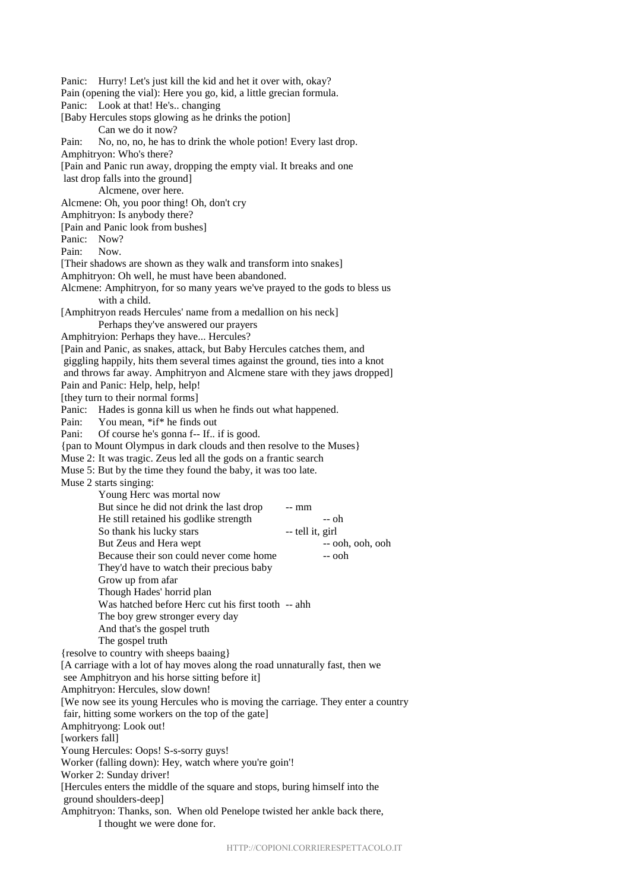Panic: Hurry! Let's just kill the kid and het it over with, okay? Pain (opening the vial): Here you go, kid, a little grecian formula. Panic: Look at that! He's.. changing [Baby Hercules stops glowing as he drinks the potion] Can we do it now? Pain: No, no, no, he has to drink the whole potion! Every last drop. Amphitryon: Who's there? [Pain and Panic run away, dropping the empty vial. It breaks and one last drop falls into the ground] Alcmene, over here. Alcmene: Oh, you poor thing! Oh, don't cry Amphitryon: Is anybody there? [Pain and Panic look from bushes] Panic: Now? Pain: Now. [Their shadows are shown as they walk and transform into snakes] Amphitryon: Oh well, he must have been abandoned. Alcmene: Amphitryon, for so many years we've prayed to the gods to bless us with a child. [Amphitryon reads Hercules' name from a medallion on his neck] Perhaps they've answered our prayers Amphitryion: Perhaps they have... Hercules? [Pain and Panic, as snakes, attack, but Baby Hercules catches them, and giggling happily, hits them several times against the ground, ties into a knot and throws far away. Amphitryon and Alcmene stare with they jaws dropped] Pain and Panic: Help, help, help! [they turn to their normal forms] Panic: Hades is gonna kill us when he finds out what happened. Pain: You mean, \*if\* he finds out Pani: Of course he's gonna f-- If.. if is good. {pan to Mount Olympus in dark clouds and then resolve to the Muses} Muse 2: It was tragic. Zeus led all the gods on a frantic search Muse 5: But by the time they found the baby, it was too late. Muse 2 starts singing: Young Herc was mortal now But since he did not drink the last drop -- mm He still retained his godlike strength -- oh So thank his lucky stars -- tell it, girl But Zeus and Hera wept  $-$  -- ooh, ooh, ooh, ooh Because their son could never come home -- ooh They'd have to watch their precious baby Grow up from afar Though Hades' horrid plan Was hatched before Herc cut his first tooth -- ahh The boy grew stronger every day And that's the gospel truth The gospel truth {resolve to country with sheeps baaing} [A carriage with a lot of hay moves along the road unnaturally fast, then we see Amphitryon and his horse sitting before it] Amphitryon: Hercules, slow down! [We now see its young Hercules who is moving the carriage. They enter a country fair, hitting some workers on the top of the gate] Amphitryong: Look out! [workers fall] Young Hercules: Oops! S-s-sorry guys! Worker (falling down): Hey, watch where you're goin'! Worker 2: Sunday driver! [Hercules enters the middle of the square and stops, buring himself into the ground shoulders-deep] Amphitryon: Thanks, son. When old Penelope twisted her ankle back there, I thought we were done for.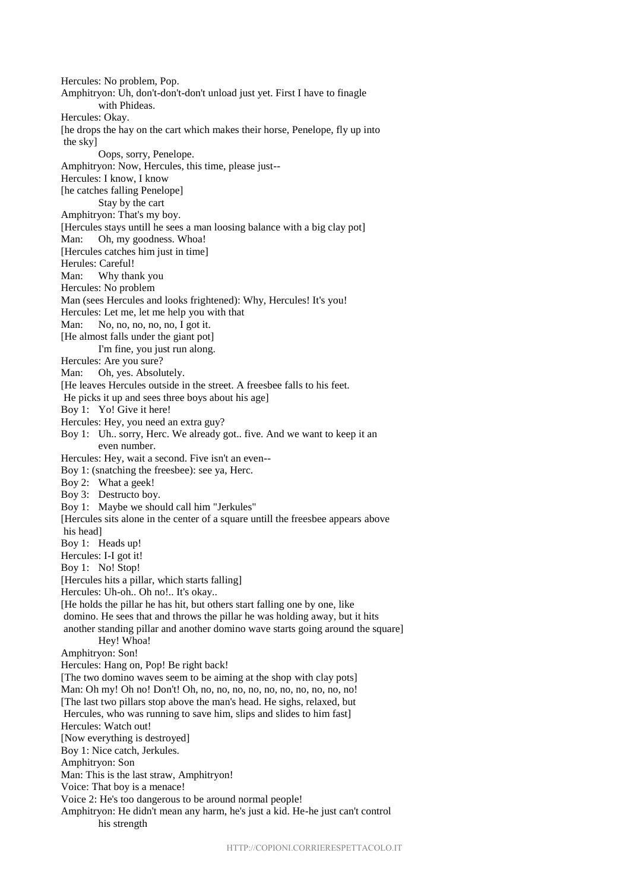Hercules: No problem, Pop. Amphitryon: Uh, don't-don't-don't unload just yet. First I have to finagle with Phideas. Hercules: Okay. [he drops the hay on the cart which makes their horse, Penelope, fly up into the sky] Oops, sorry, Penelope. Amphitryon: Now, Hercules, this time, please just-- Hercules: I know, I know [he catches falling Penelope] Stay by the cart Amphitryon: That's my boy. [Hercules stays untill he sees a man loosing balance with a big clay pot] Man: Oh, my goodness. Whoa! [Hercules catches him just in time] Herules: Careful! Man: Why thank you Hercules: No problem Man (sees Hercules and looks frightened): Why, Hercules! It's you! Hercules: Let me, let me help you with that Man: No, no, no, no, no, I got it. [He almost falls under the giant pot] I'm fine, you just run along. Hercules: Are you sure? Man: Oh, yes. Absolutely. [He leaves Hercules outside in the street. A freesbee falls to his feet. He picks it up and sees three boys about his age] Boy 1: Yo! Give it here! Hercules: Hey, you need an extra guy? Boy 1: Uh.. sorry, Herc. We already got.. five. And we want to keep it an even number. Hercules: Hey, wait a second. Five isn't an even-- Boy 1: (snatching the freesbee): see ya, Herc. Boy 2: What a geek! Boy 3: Destructo boy. Boy 1: Maybe we should call him "Jerkules" [Hercules sits alone in the center of a square untill the freesbee appears above his head] Boy 1: Heads up! Hercules: I-I got it! Boy 1: No! Stop! [Hercules hits a pillar, which starts falling] Hercules: Uh-oh.. Oh no!.. It's okay.. [He holds the pillar he has hit, but others start falling one by one, like domino. He sees that and throws the pillar he was holding away, but it hits another standing pillar and another domino wave starts going around the square] Hey! Whoa! Amphitryon: Son! Hercules: Hang on, Pop! Be right back! [The two domino waves seem to be aiming at the shop with clay pots] Man: Oh my! Oh no! Don't! Oh, no, no, no, no, no, no, no, no, no, no! [The last two pillars stop above the man's head. He sighs, relaxed, but Hercules, who was running to save him, slips and slides to him fast] Hercules: Watch out! [Now everything is destroyed] Boy 1: Nice catch, Jerkules. Amphitryon: Son Man: This is the last straw, Amphitryon! Voice: That boy is a menace! Voice 2: He's too dangerous to be around normal people! Amphitryon: He didn't mean any harm, he's just a kid. He-he just can't control his strength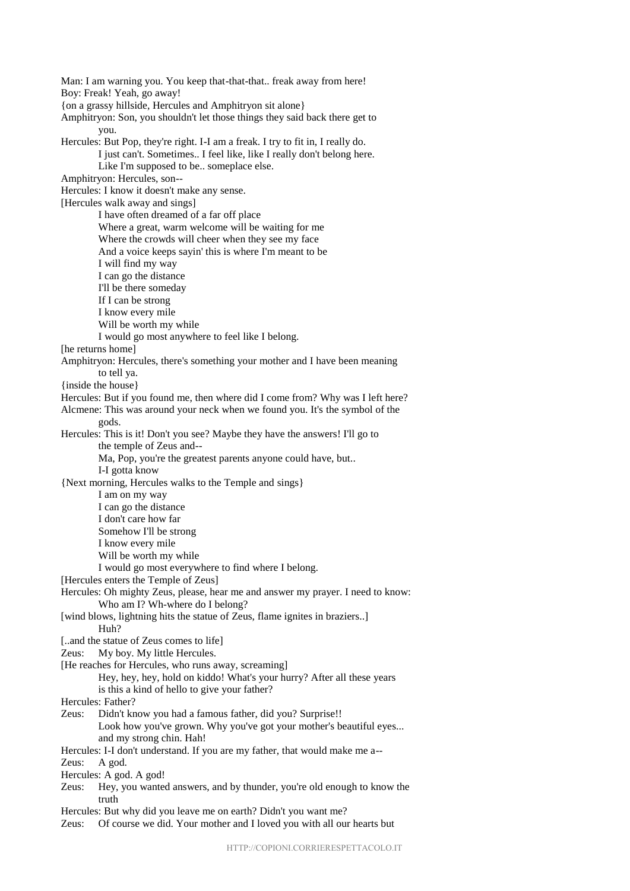Man: I am warning you. You keep that-that-that.. freak away from here! Boy: Freak! Yeah, go away! {on a grassy hillside, Hercules and Amphitryon sit alone} Amphitryon: Son, you shouldn't let those things they said back there get to you. Hercules: But Pop, they're right. I-I am a freak. I try to fit in, I really do. I just can't. Sometimes.. I feel like, like I really don't belong here. Like I'm supposed to be.. someplace else. Amphitryon: Hercules, son-- Hercules: I know it doesn't make any sense. [Hercules walk away and sings] I have often dreamed of a far off place Where a great, warm welcome will be waiting for me Where the crowds will cheer when they see my face And a voice keeps sayin' this is where I'm meant to be I will find my way I can go the distance I'll be there someday If I can be strong I know every mile Will be worth my while I would go most anywhere to feel like I belong. [he returns home] Amphitryon: Hercules, there's something your mother and I have been meaning to tell ya. {inside the house} Hercules: But if you found me, then where did I come from? Why was I left here? Alcmene: This was around your neck when we found you. It's the symbol of the gods. Hercules: This is it! Don't you see? Maybe they have the answers! I'll go to the temple of Zeus and-- Ma, Pop, you're the greatest parents anyone could have, but... I-I gotta know {Next morning, Hercules walks to the Temple and sings} I am on my way I can go the distance I don't care how far Somehow I'll be strong I know every mile Will be worth my while I would go most everywhere to find where I belong. [Hercules enters the Temple of Zeus] Hercules: Oh mighty Zeus, please, hear me and answer my prayer. I need to know: Who am I? Wh-where do I belong? [wind blows, lightning hits the statue of Zeus, flame ignites in braziers..] Huh? [..and the statue of Zeus comes to life] Zeus: My boy. My little Hercules. [He reaches for Hercules, who runs away, screaming] Hey, hey, hey, hold on kiddo! What's your hurry? After all these years is this a kind of hello to give your father? Hercules: Father?<br>Zeus: Didn't kn Didn't know you had a famous father, did you? Surprise!! Look how you've grown. Why you've got your mother's beautiful eyes... and my strong chin. Hah! Hercules: I-I don't understand. If you are my father, that would make me a-- Zeus: A god. Hercules: A god. A god! Zeus: Hey, you wanted answers, and by thunder, you're old enough to know the truth Hercules: But why did you leave me on earth? Didn't you want me? Zeus: Of course we did. Your mother and I loved you with all our hearts but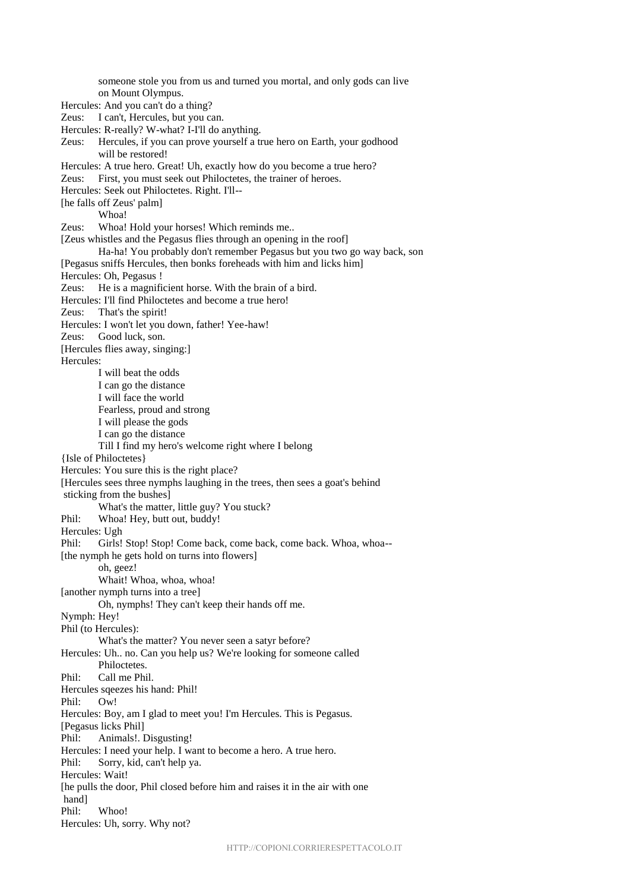someone stole you from us and turned you mortal, and only gods can live on Mount Olympus. Hercules: And you can't do a thing? Zeus: I can't, Hercules, but you can. Hercules: R-really? W-what? I-I'll do anything. Zeus: Hercules, if you can prove yourself a true hero on Earth, your godhood will be restored! Hercules: A true hero. Great! Uh, exactly how do you become a true hero? Zeus: First, you must seek out Philoctetes, the trainer of heroes. Hercules: Seek out Philoctetes. Right. I'll-- [he falls off Zeus' palm] Whoa! Zeus: Whoa! Hold your horses! Which reminds me.. [Zeus whistles and the Pegasus flies through an opening in the roof] Ha-ha! You probably don't remember Pegasus but you two go way back, son [Pegasus sniffs Hercules, then bonks foreheads with him and licks him] Hercules: Oh, Pegasus ! Zeus: He is a magnificient horse. With the brain of a bird. Hercules: I'll find Philoctetes and become a true hero! Zeus: That's the spirit! Hercules: I won't let you down, father! Yee-haw! Zeus: Good luck, son. [Hercules flies away, singing:] Hercules: I will beat the odds I can go the distance I will face the world Fearless, proud and strong I will please the gods I can go the distance Till I find my hero's welcome right where I belong {Isle of Philoctetes} Hercules: You sure this is the right place? [Hercules sees three nymphs laughing in the trees, then sees a goat's behind sticking from the bushes] What's the matter, little guy? You stuck? Phil: Whoa! Hey, butt out, buddy! Hercules: Ugh Phil: Girls! Stop! Stop! Come back, come back, come back. Whoa, whoa-- [the nymph he gets hold on turns into flowers] oh, geez! Whait! Whoa, whoa, whoa! [another nymph turns into a tree] Oh, nymphs! They can't keep their hands off me. Nymph: Hey! Phil (to Hercules): What's the matter? You never seen a satyr before? Hercules: Uh.. no. Can you help us? We're looking for someone called Philoctetes. Phil: Call me Phil. Hercules sqeezes his hand: Phil! Phil: Ow! Hercules: Boy, am I glad to meet you! I'm Hercules. This is Pegasus. [Pegasus licks Phil] Phil: Animals!. Disgusting! Hercules: I need your help. I want to become a hero. A true hero. Phil: Sorry, kid, can't help ya. Hercules: Wait! [he pulls the door, Phil closed before him and raises it in the air with one hand] Phil: Whoo! Hercules: Uh, sorry. Why not?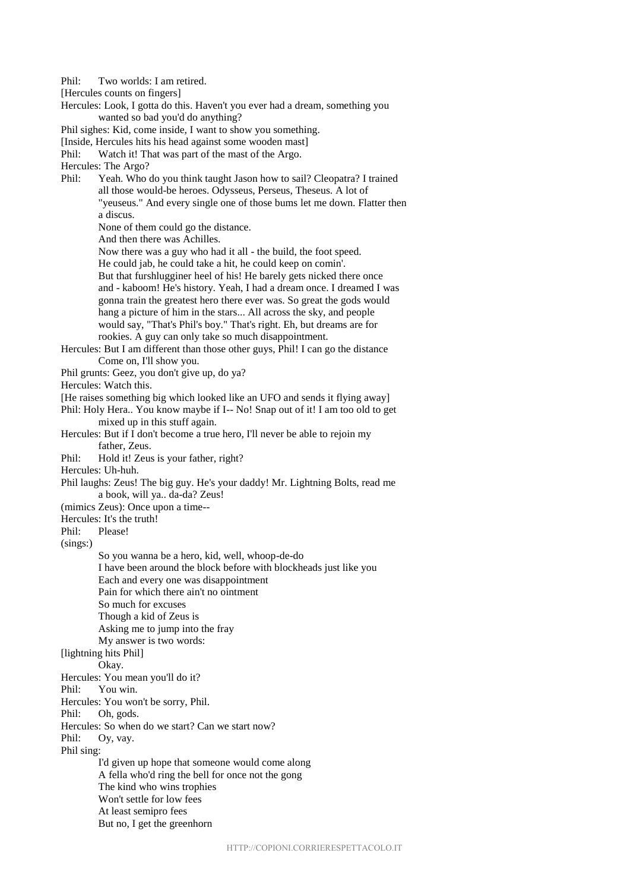Phil: Two worlds: I am retired. [Hercules counts on fingers] Hercules: Look, I gotta do this. Haven't you ever had a dream, something you wanted so bad you'd do anything? Phil sighes: Kid, come inside, I want to show you something. [Inside, Hercules hits his head against some wooden mast] Phil: Watch it! That was part of the mast of the Argo. Hercules: The Argo? Phil: Yeah. Who do you think taught Jason how to sail? Cleopatra? I trained all those would-be heroes. Odysseus, Perseus, Theseus. A lot of "yeuseus." And every single one of those bums let me down. Flatter then a discus. None of them could go the distance. And then there was Achilles. Now there was a guy who had it all - the build, the foot speed. He could jab, he could take a hit, he could keep on comin'. But that furshlugginer heel of his! He barely gets nicked there once and - kaboom! He's history. Yeah, I had a dream once. I dreamed I was gonna train the greatest hero there ever was. So great the gods would hang a picture of him in the stars... All across the sky, and people would say, "That's Phil's boy." That's right. Eh, but dreams are for rookies. A guy can only take so much disappointment. Hercules: But I am different than those other guys, Phil! I can go the distance Come on, I'll show you. Phil grunts: Geez, you don't give up, do ya? Hercules: Watch this. [He raises something big which looked like an UFO and sends it flying away] Phil: Holy Hera.. You know maybe if I-- No! Snap out of it! I am too old to get mixed up in this stuff again. Hercules: But if I don't become a true hero, I'll never be able to rejoin my father, Zeus. Phil: Hold it! Zeus is your father, right? Hercules: Uh-huh. Phil laughs: Zeus! The big guy. He's your daddy! Mr. Lightning Bolts, read me a book, will ya.. da-da? Zeus! (mimics Zeus): Once upon a time-- Hercules: It's the truth! Phil: Please! (sings:) So you wanna be a hero, kid, well, whoop-de-do I have been around the block before with blockheads just like you Each and every one was disappointment Pain for which there ain't no ointment So much for excuses Though a kid of Zeus is Asking me to jump into the fray My answer is two words: [lightning hits Phil] Okay. Hercules: You mean you'll do it? Phil: You win. Hercules: You won't be sorry, Phil. Phil: Oh, gods. Hercules: So when do we start? Can we start now? Phil: Ov, vay. Phil sing: I'd given up hope that someone would come along A fella who'd ring the bell for once not the gong The kind who wins trophies Won't settle for low fees At least semipro fees But no, I get the greenhorn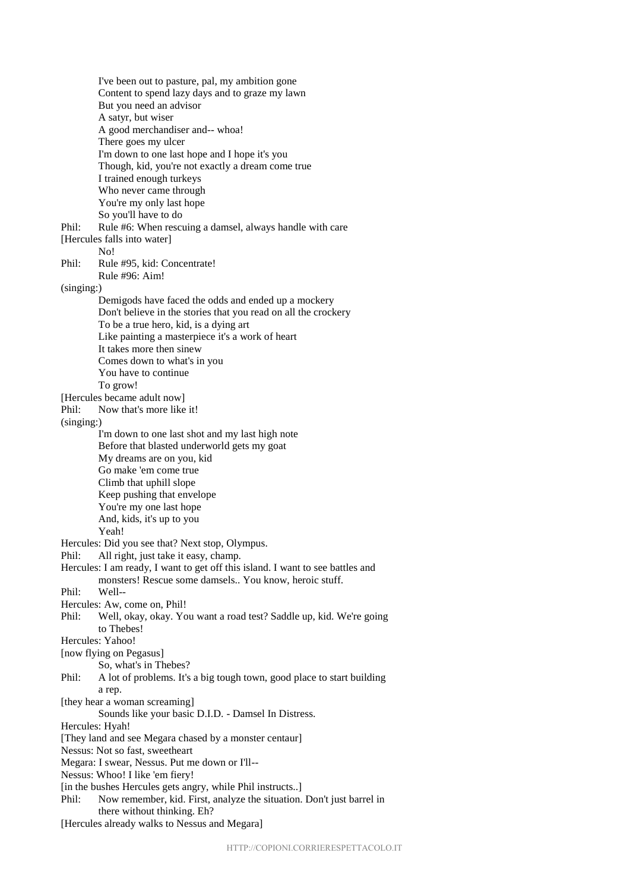I've been out to pasture, pal, my ambition gone Content to spend lazy days and to graze my lawn But you need an advisor A satyr, but wiser A good merchandiser and-- whoa! There goes my ulcer I'm down to one last hope and I hope it's you Though, kid, you're not exactly a dream come true I trained enough turkeys Who never came through You're my only last hope So you'll have to do Phil: Rule #6: When rescuing a damsel, always handle with care [Hercules falls into water] No! Phil: Rule #95, kid: Concentrate! Rule #96: Aim! (singing:) Demigods have faced the odds and ended up a mockery Don't believe in the stories that you read on all the crockery To be a true hero, kid, is a dying art Like painting a masterpiece it's a work of heart It takes more then sinew Comes down to what's in you You have to continue To grow! [Hercules became adult now] Phil: Now that's more like it! (singing:) I'm down to one last shot and my last high note Before that blasted underworld gets my goat My dreams are on you, kid Go make 'em come true Climb that uphill slope Keep pushing that envelope You're my one last hope And, kids, it's up to you Yeah! Hercules: Did you see that? Next stop, Olympus. Phil: All right, just take it easy, champ. Hercules: I am ready, I want to get off this island. I want to see battles and monsters! Rescue some damsels.. You know, heroic stuff. Phil: Well-- Hercules: Aw, come on, Phil! Phil: Well, okay, okay. You want a road test? Saddle up, kid. We're going to Thebes! Hercules: Yahoo! [now flying on Pegasus] So, what's in Thebes? Phil: A lot of problems. It's a big tough town, good place to start building a rep. [they hear a woman screaming] Sounds like your basic D.I.D. - Damsel In Distress. Hercules: Hyah! [They land and see Megara chased by a monster centaur] Nessus: Not so fast, sweetheart Megara: I swear, Nessus. Put me down or I'll-- Nessus: Whoo! I like 'em fiery! [in the bushes Hercules gets angry, while Phil instructs..] Phil: Now remember, kid. First, analyze the situation. Don't just barrel in there without thinking. Eh? [Hercules already walks to Nessus and Megara]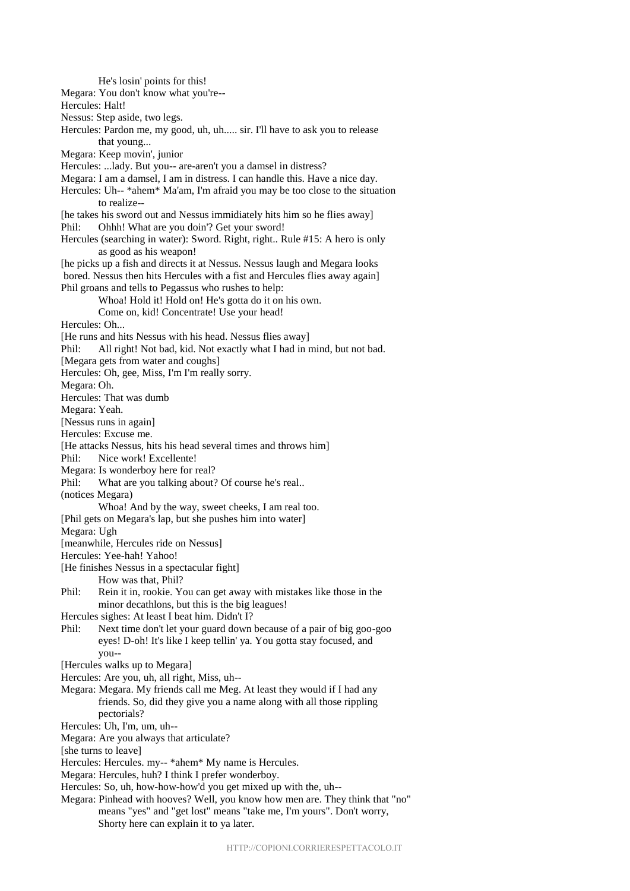He's losin' points for this! Megara: You don't know what you're-- Hercules: Halt! Nessus: Step aside, two legs. Hercules: Pardon me, my good, uh, uh..... sir. I'll have to ask you to release that young... Megara: Keep movin', junior Hercules: ...lady. But you-- are-aren't you a damsel in distress? Megara: I am a damsel, I am in distress. I can handle this. Have a nice day. Hercules: Uh-- \*ahem\* Ma'am, I'm afraid you may be too close to the situation to realize-- [he takes his sword out and Nessus immidiately hits him so he flies away] Phil: Ohhh! What are you doin'? Get your sword! Hercules (searching in water): Sword. Right, right.. Rule #15: A hero is only as good as his weapon! [he picks up a fish and directs it at Nessus. Nessus laugh and Megara looks bored. Nessus then hits Hercules with a fist and Hercules flies away again] Phil groans and tells to Pegassus who rushes to help: Whoa! Hold it! Hold on! He's gotta do it on his own. Come on, kid! Concentrate! Use your head! Hercules: Oh... [He runs and hits Nessus with his head. Nessus flies away] Phil: All right! Not bad, kid. Not exactly what I had in mind, but not bad. [Megara gets from water and coughs] Hercules: Oh, gee, Miss, I'm I'm really sorry. Megara: Oh. Hercules: That was dumb Megara: Yeah. [Nessus runs in again] Hercules: Excuse me. [He attacks Nessus, hits his head several times and throws him] Phil: Nice work! Excellente! Megara: Is wonderboy here for real? Phil: What are you talking about? Of course he's real.. (notices Megara) Whoa! And by the way, sweet cheeks, I am real too. [Phil gets on Megara's lap, but she pushes him into water] Megara: Ugh [meanwhile, Hercules ride on Nessus] Hercules: Yee-hah! Yahoo! [He finishes Nessus in a spectacular fight] How was that, Phil? Phil: Rein it in, rookie. You can get away with mistakes like those in the minor decathlons, but this is the big leagues! Hercules sighes: At least I beat him. Didn't I? Phil: Next time don't let your guard down because of a pair of big goo-goo eyes! D-oh! It's like I keep tellin' ya. You gotta stay focused, and you-- [Hercules walks up to Megara] Hercules: Are you, uh, all right, Miss, uh-- Megara: Megara. My friends call me Meg. At least they would if I had any friends. So, did they give you a name along with all those rippling pectorials? Hercules: Uh, I'm, um, uh-- Megara: Are you always that articulate? [she turns to leave] Hercules: Hercules. my-- \*ahem\* My name is Hercules. Megara: Hercules, huh? I think I prefer wonderboy. Hercules: So, uh, how-how-how'd you get mixed up with the, uh-- Megara: Pinhead with hooves? Well, you know how men are. They think that "no" means "yes" and "get lost" means "take me, I'm yours". Don't worry, Shorty here can explain it to ya later.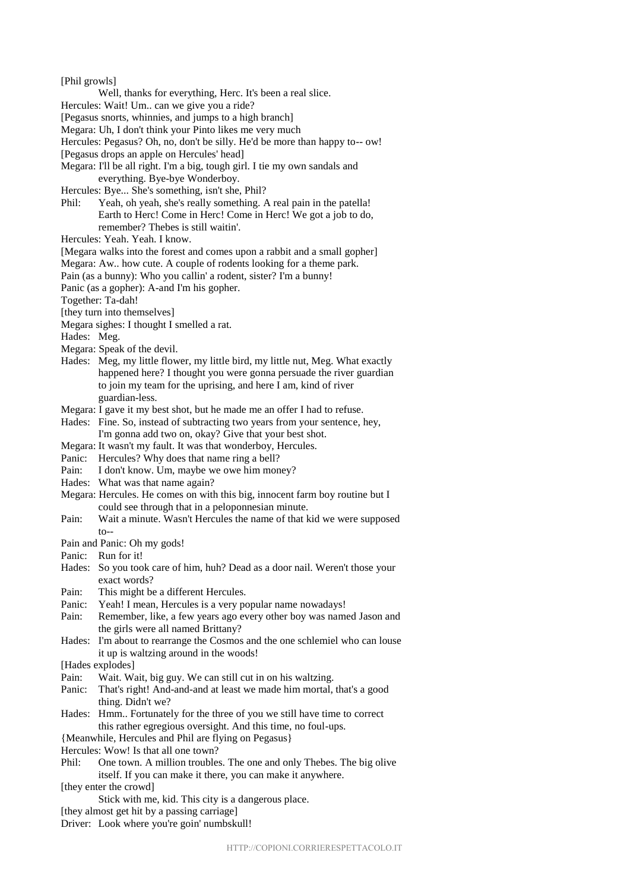[Phil growls] Well, thanks for everything, Herc. It's been a real slice. Hercules: Wait! Um.. can we give you a ride? [Pegasus snorts, whinnies, and jumps to a high branch] Megara: Uh, I don't think your Pinto likes me very much Hercules: Pegasus? Oh, no, don't be silly. He'd be more than happy to-- ow! [Pegasus drops an apple on Hercules' head] Megara: I'll be all right. I'm a big, tough girl. I tie my own sandals and everything. Bye-bye Wonderboy. Hercules: Bye... She's something, isn't she, Phil? Phil: Yeah, oh yeah, she's really something. A real pain in the patella! Earth to Herc! Come in Herc! Come in Herc! We got a job to do, remember? Thebes is still waitin'. Hercules: Yeah. Yeah. I know. [Megara walks into the forest and comes upon a rabbit and a small gopher] Megara: Aw.. how cute. A couple of rodents looking for a theme park. Pain (as a bunny): Who you callin' a rodent, sister? I'm a bunny! Panic (as a gopher): A-and I'm his gopher. Together: Ta-dah! [they turn into themselves] Megara sighes: I thought I smelled a rat. Hades: Meg. Megara: Speak of the devil. Hades: Meg, my little flower, my little bird, my little nut, Meg. What exactly happened here? I thought you were gonna persuade the river guardian to join my team for the uprising, and here I am, kind of river guardian-less. Megara: I gave it my best shot, but he made me an offer I had to refuse. Hades: Fine. So, instead of subtracting two years from your sentence, hey, I'm gonna add two on, okay? Give that your best shot. Megara: It wasn't my fault. It was that wonderboy, Hercules. Panic: Hercules? Why does that name ring a bell? Pain: I don't know. Um, maybe we owe him money? Hades: What was that name again? Megara: Hercules. He comes on with this big, innocent farm boy routine but I could see through that in a peloponnesian minute. Pain: Wait a minute. Wasn't Hercules the name of that kid we were supposed  $to$ --Pain and Panic: Oh my gods! Panic: Run for it! Hades: So you took care of him, huh? Dead as a door nail. Weren't those your exact words? Pain: This might be a different Hercules. Panic: Yeah! I mean, Hercules is a very popular name nowadays! Pain: Remember, like, a few years ago every other boy was named Jason and the girls were all named Brittany? Hades: I'm about to rearrange the Cosmos and the one schlemiel who can louse it up is waltzing around in the woods! [Hades explodes] Pain: Wait. Wait, big guy. We can still cut in on his waltzing. Panic: That's right! And-and-and at least we made him mortal, that's a good thing. Didn't we? Hades: Hmm.. Fortunately for the three of you we still have time to correct this rather egregious oversight. And this time, no foul-ups. {Meanwhile, Hercules and Phil are flying on Pegasus} Hercules: Wow! Is that all one town? Phil: One town. A million troubles. The one and only Thebes. The big olive itself. If you can make it there, you can make it anywhere. [they enter the crowd] Stick with me, kid. This city is a dangerous place. [they almost get hit by a passing carriage] Driver: Look where you're goin' numbskull!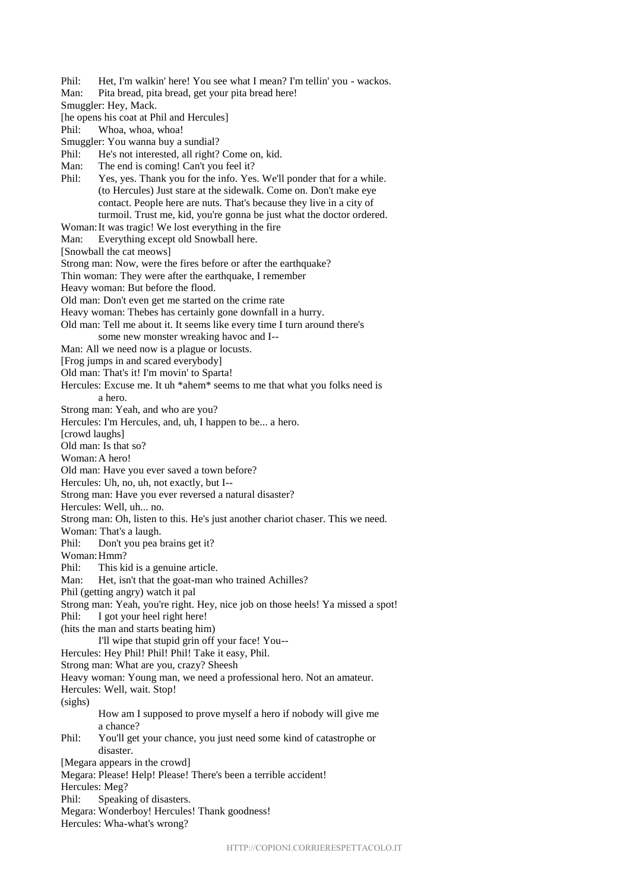Phil: Het, I'm walkin' here! You see what I mean? I'm tellin' you - wackos. Man: Pita bread, pita bread, get your pita bread here! Smuggler: Hey, Mack. [he opens his coat at Phil and Hercules] Phil: Whoa, whoa, whoa! Smuggler: You wanna buy a sundial? Phil: He's not interested, all right? Come on, kid. Man: The end is coming! Can't you feel it? Phil: Yes, yes. Thank you for the info. Yes. We'll ponder that for a while. (to Hercules) Just stare at the sidewalk. Come on. Don't make eye contact. People here are nuts. That's because they live in a city of turmoil. Trust me, kid, you're gonna be just what the doctor ordered. Woman:It was tragic! We lost everything in the fire Man: Everything except old Snowball here. [Snowball the cat meows] Strong man: Now, were the fires before or after the earthquake? Thin woman: They were after the earthquake, I remember Heavy woman: But before the flood. Old man: Don't even get me started on the crime rate Heavy woman: Thebes has certainly gone downfall in a hurry. Old man: Tell me about it. It seems like every time I turn around there's some new monster wreaking havoc and I-- Man: All we need now is a plague or locusts. [Frog jumps in and scared everybody] Old man: That's it! I'm movin' to Sparta! Hercules: Excuse me. It uh \*ahem\* seems to me that what you folks need is a hero. Strong man: Yeah, and who are you? Hercules: I'm Hercules, and, uh, I happen to be... a hero. [crowd laughs] Old man: Is that so? Woman:A hero! Old man: Have you ever saved a town before? Hercules: Uh, no, uh, not exactly, but I-- Strong man: Have you ever reversed a natural disaster? Hercules: Well, uh... no. Strong man: Oh, listen to this. He's just another chariot chaser. This we need. Woman: That's a laugh. Phil: Don't you pea brains get it? Woman:Hmm? Phil: This kid is a genuine article. Man: Het, isn't that the goat-man who trained Achilles? Phil (getting angry) watch it pal Strong man: Yeah, you're right. Hey, nice job on those heels! Ya missed a spot! Phil: I got your heel right here! (hits the man and starts beating him) I'll wipe that stupid grin off your face! You-- Hercules: Hey Phil! Phil! Phil! Take it easy, Phil. Strong man: What are you, crazy? Sheesh Heavy woman: Young man, we need a professional hero. Not an amateur. Hercules: Well, wait. Stop! (sighs) How am I supposed to prove myself a hero if nobody will give me a chance? Phil: You'll get your chance, you just need some kind of catastrophe or disaster. [Megara appears in the crowd] Megara: Please! Help! Please! There's been a terrible accident! Hercules: Meg? Phil: Speaking of disasters. Megara: Wonderboy! Hercules! Thank goodness! Hercules: Wha-what's wrong?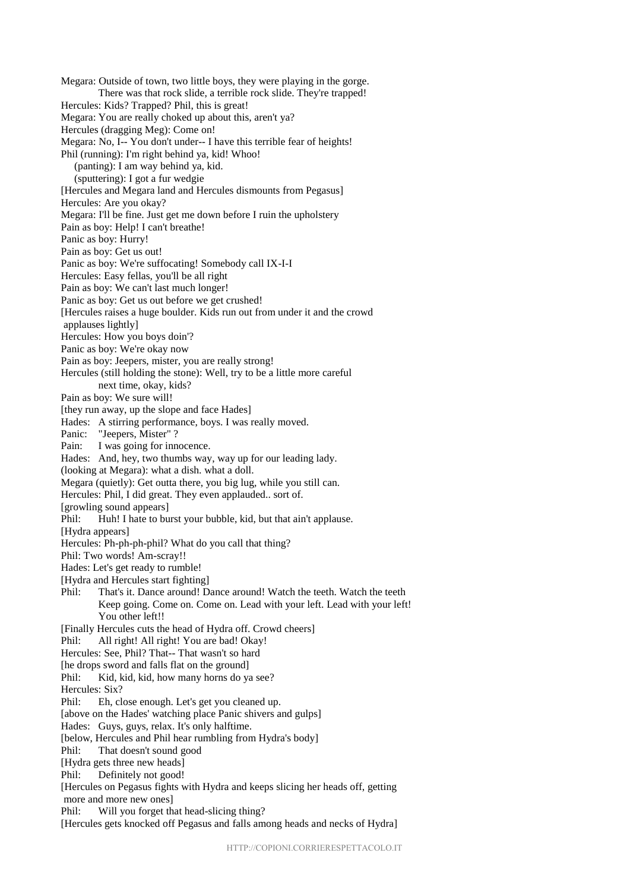Megara: Outside of town, two little boys, they were playing in the gorge. There was that rock slide, a terrible rock slide. They're trapped! Hercules: Kids? Trapped? Phil, this is great! Megara: You are really choked up about this, aren't ya? Hercules (dragging Meg): Come on! Megara: No, I-- You don't under-- I have this terrible fear of heights! Phil (running): I'm right behind ya, kid! Whoo! (panting): I am way behind ya, kid. (sputtering): I got a fur wedgie [Hercules and Megara land and Hercules dismounts from Pegasus] Hercules: Are you okay? Megara: I'll be fine. Just get me down before I ruin the upholstery Pain as boy: Help! I can't breathe! Panic as boy: Hurry! Pain as boy: Get us out! Panic as boy: We're suffocating! Somebody call IX-I-I Hercules: Easy fellas, you'll be all right Pain as boy: We can't last much longer! Panic as boy: Get us out before we get crushed! [Hercules raises a huge boulder. Kids run out from under it and the crowd applauses lightly] Hercules: How you boys doin'? Panic as boy: We're okay now Pain as boy: Jeepers, mister, you are really strong! Hercules (still holding the stone): Well, try to be a little more careful next time, okay, kids? Pain as boy: We sure will! [they run away, up the slope and face Hades] Hades: A stirring performance, boys. I was really moved. Panic: "Jeepers, Mister" ?<br>Pain: I was going for inn I was going for innocence. Hades: And, hey, two thumbs way, way up for our leading lady. (looking at Megara): what a dish. what a doll. Megara (quietly): Get outta there, you big lug, while you still can. Hercules: Phil, I did great. They even applauded.. sort of. [growling sound appears] Phil: Huh! I hate to burst your bubble, kid, but that ain't applause. [Hydra appears] Hercules: Ph-ph-ph-phil? What do you call that thing? Phil: Two words! Am-scray!! Hades: Let's get ready to rumble! [Hydra and Hercules start fighting] Phil: That's it. Dance around! Dance around! Watch the teeth. Watch the teeth Keep going. Come on. Come on. Lead with your left. Lead with your left! You other left!! [Finally Hercules cuts the head of Hydra off. Crowd cheers] Phil: All right! All right! You are bad! Okay! Hercules: See, Phil? That-- That wasn't so hard [he drops sword and falls flat on the ground] Phil: Kid, kid, kid, how many horns do ya see? Hercules: Six? Phil: Eh, close enough. Let's get you cleaned up. [above on the Hades' watching place Panic shivers and gulps] Hades: Guys, guys, relax. It's only halftime. [below, Hercules and Phil hear rumbling from Hydra's body] Phil: That doesn't sound good [Hydra gets three new heads] Phil: Definitely not good! [Hercules on Pegasus fights with Hydra and keeps slicing her heads off, getting more and more new ones] Phil: Will you forget that head-slicing thing? [Hercules gets knocked off Pegasus and falls among heads and necks of Hydra]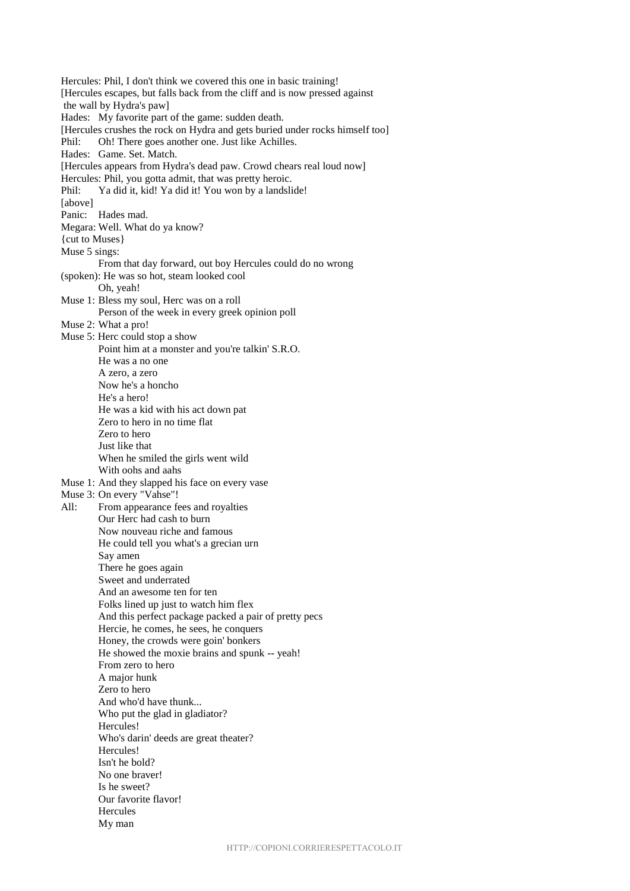Hercules: Phil, I don't think we covered this one in basic training! [Hercules escapes, but falls back from the cliff and is now pressed against the wall by Hydra's paw] Hades: My favorite part of the game: sudden death. [Hercules crushes the rock on Hydra and gets buried under rocks himself too] Phil: Oh! There goes another one. Just like Achilles. Hades: Game. Set. Match. [Hercules appears from Hydra's dead paw. Crowd chears real loud now] Hercules: Phil, you gotta admit, that was pretty heroic. Phil: Ya did it, kid! Ya did it! You won by a landslide! [above] Panic: Hades mad. Megara: Well. What do ya know? {cut to Muses} Muse 5 sings: From that day forward, out boy Hercules could do no wrong (spoken): He was so hot, steam looked cool Oh, yeah! Muse 1: Bless my soul, Herc was on a roll Person of the week in every greek opinion poll Muse 2: What a pro! Muse 5: Herc could stop a show Point him at a monster and you're talkin' S.R.O. He was a no one A zero, a zero Now he's a honcho He's a hero! He was a kid with his act down pat Zero to hero in no time flat Zero to hero Just like that When he smiled the girls went wild With oohs and aahs Muse 1: And they slapped his face on every vase Muse 3: On every "Vahse"! All: From appearance fees and royalties Our Herc had cash to burn Now nouveau riche and famous He could tell you what's a grecian urn Say amen There he goes again Sweet and underrated And an awesome ten for ten Folks lined up just to watch him flex And this perfect package packed a pair of pretty pecs Hercie, he comes, he sees, he conquers Honey, the crowds were goin' bonkers He showed the moxie brains and spunk -- yeah! From zero to hero A major hunk Zero to hero And who'd have thunk... Who put the glad in gladiator? Hercules! Who's darin' deeds are great theater? Hercules! Isn't he bold? No one braver! Is he sweet? Our favorite flavor! Hercules My man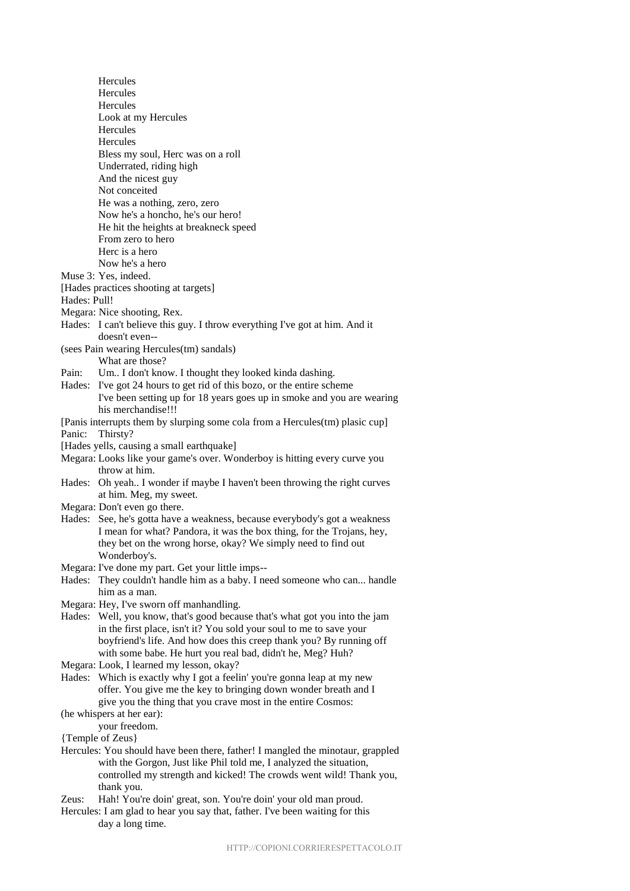**Hercules Hercules** Hercules Look at my Hercules Hercules **Hercules** Bless my soul, Herc was on a roll Underrated, riding high And the nicest guy Not conceited He was a nothing, zero, zero Now he's a honcho, he's our hero! He hit the heights at breakneck speed From zero to hero Herc is a hero Now he's a hero Muse 3: Yes, indeed. [Hades practices shooting at targets] Hades: Pull! Megara: Nice shooting, Rex. Hades: I can't believe this guy. I throw everything I've got at him. And it doesn't even-- (sees Pain wearing Hercules(tm) sandals) What are those? Pain: Um.. I don't know. I thought they looked kinda dashing. Hades: I've got 24 hours to get rid of this bozo, or the entire scheme I've been setting up for 18 years goes up in smoke and you are wearing his merchandise!!! [Panis interrupts them by slurping some cola from a Hercules(tm) plasic cup] Panic: Thirsty? [Hades yells, causing a small earthquake] Megara: Looks like your game's over. Wonderboy is hitting every curve you throw at him. Hades: Oh yeah.. I wonder if maybe I haven't been throwing the right curves at him. Meg, my sweet. Megara: Don't even go there. Hades: See, he's gotta have a weakness, because everybody's got a weakness I mean for what? Pandora, it was the box thing, for the Trojans, hey, they bet on the wrong horse, okay? We simply need to find out Wonderboy's. Megara: I've done my part. Get your little imps-- Hades: They couldn't handle him as a baby. I need someone who can... handle him as a man. Megara: Hey, I've sworn off manhandling. Hades: Well, you know, that's good because that's what got you into the jam in the first place, isn't it? You sold your soul to me to save your boyfriend's life. And how does this creep thank you? By running off with some babe. He hurt you real bad, didn't he, Meg? Huh? Megara: Look, I learned my lesson, okay? Hades: Which is exactly why I got a feelin' you're gonna leap at my new offer. You give me the key to bringing down wonder breath and I give you the thing that you crave most in the entire Cosmos: (he whispers at her ear): your freedom. {Temple of Zeus} Hercules: You should have been there, father! I mangled the minotaur, grappled with the Gorgon, Just like Phil told me, I analyzed the situation, controlled my strength and kicked! The crowds went wild! Thank you, thank you. Zeus: Hah! You're doin' great, son. You're doin' your old man proud. Hercules: I am glad to hear you say that, father. I've been waiting for this day a long time.

HTTP://COPIONI.CORRIERESPETTACOLO.IT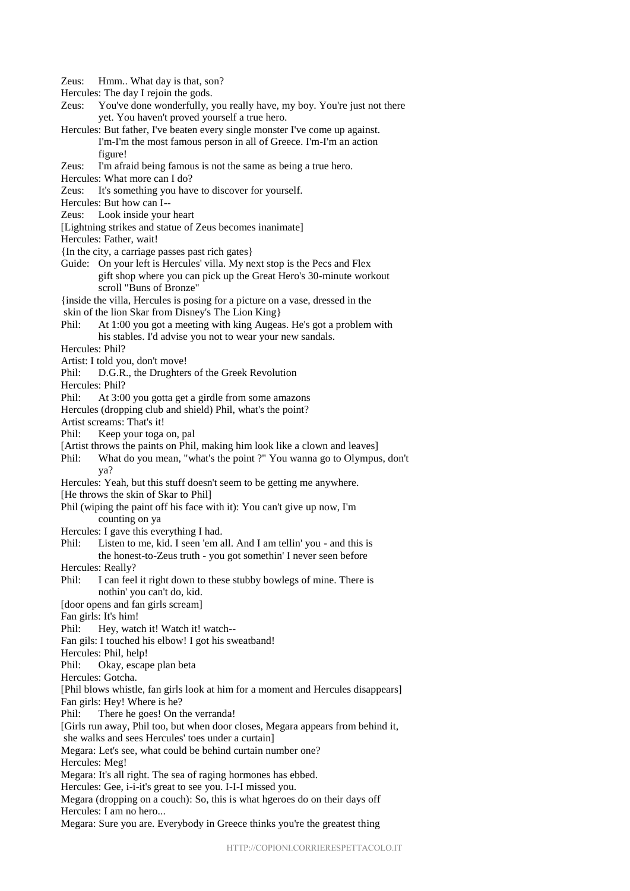Zeus: Hmm.. What day is that, son?

Hercules: The day I rejoin the gods.

- Zeus: You've done wonderfully, you really have, my boy. You're just not there yet. You haven't proved yourself a true hero.
- Hercules: But father, I've beaten every single monster I've come up against. I'm-I'm the most famous person in all of Greece. I'm-I'm an action figure!

## Zeus: I'm afraid being famous is not the same as being a true hero.

Hercules: What more can I do?

Zeus: It's something you have to discover for yourself.

Hercules: But how can I--

- Zeus: Look inside your heart
- [Lightning strikes and statue of Zeus becomes inanimate]

Hercules: Father, wait!

- {In the city, a carriage passes past rich gates}
- Guide: On your left is Hercules' villa. My next stop is the Pecs and Flex gift shop where you can pick up the Great Hero's 30-minute workout scroll "Buns of Bronze"
- {inside the villa, Hercules is posing for a picture on a vase, dressed in the

skin of the lion Skar from Disney's The Lion King}

- Phil: At 1:00 you got a meeting with king Augeas. He's got a problem with his stables. I'd advise you not to wear your new sandals.
- Hercules: Phil?
- Artist: I told you, don't move!
- Phil: D.G.R., the Drughters of the Greek Revolution

Hercules: Phil?

- Phil: At 3:00 you gotta get a girdle from some amazons
- Hercules (dropping club and shield) Phil, what's the point?

Artist screams: That's it!

Phil: Keep your toga on, pal

- [Artist throws the paints on Phil, making him look like a clown and leaves]
- Phil: What do you mean, "what's the point ?" You wanna go to Olympus, don't ya?
- Hercules: Yeah, but this stuff doesn't seem to be getting me anywhere.
- [He throws the skin of Skar to Phil]
- Phil (wiping the paint off his face with it): You can't give up now, I'm

counting on ya

Hercules: I gave this everything I had.

Phil: Listen to me, kid. I seen 'em all. And I am tellin' you - and this is

- the honest-to-Zeus truth you got somethin' I never seen before Hercules: Really?
- Phil: I can feel it right down to these stubby bowlegs of mine. There is nothin' you can't do, kid.

[door opens and fan girls scream]

Fan girls: It's him!

Phil: Hey, watch it! Watch it! watch--

Fan gils: I touched his elbow! I got his sweatband!

Hercules: Phil, help!

Phil: Okay, escape plan beta

Hercules: Gotcha.

[Phil blows whistle, fan girls look at him for a moment and Hercules disappears] Fan girls: Hey! Where is he?

Phil: There he goes! On the verranda!

[Girls run away, Phil too, but when door closes, Megara appears from behind it, she walks and sees Hercules' toes under a curtain]

Megara: Let's see, what could be behind curtain number one?

Hercules: Meg!

Megara: It's all right. The sea of raging hormones has ebbed.

Hercules: Gee, i-i-it's great to see you. I-I-I missed you.

Megara (dropping on a couch): So, this is what hgeroes do on their days off Hercules: I am no hero...

Megara: Sure you are. Everybody in Greece thinks you're the greatest thing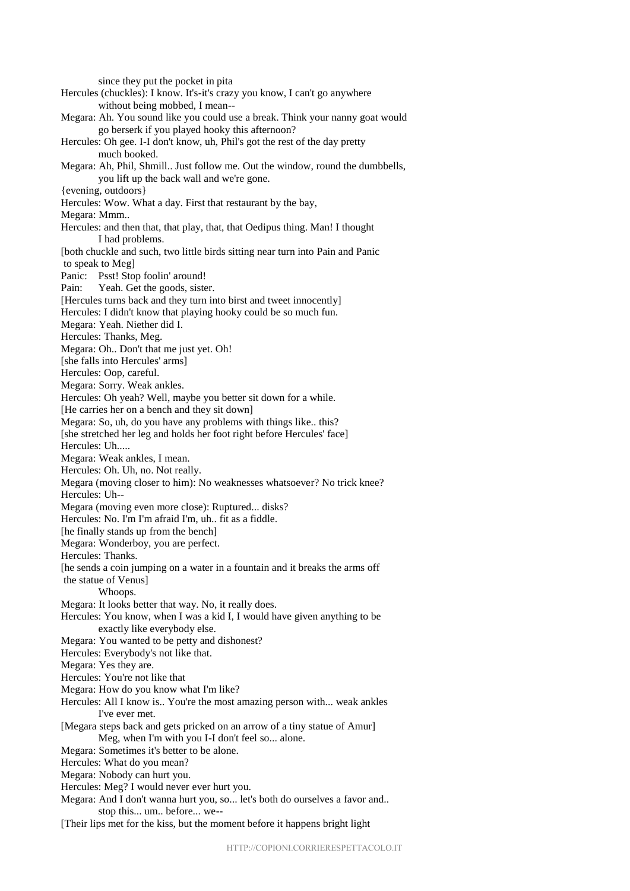since they put the pocket in pita Hercules (chuckles): I know. It's-it's crazy you know, I can't go anywhere without being mobbed, I mean-- Megara: Ah. You sound like you could use a break. Think your nanny goat would go berserk if you played hooky this afternoon? Hercules: Oh gee. I-I don't know, uh, Phil's got the rest of the day pretty much booked. Megara: Ah, Phil, Shmill.. Just follow me. Out the window, round the dumbbells, you lift up the back wall and we're gone. {evening, outdoors} Hercules: Wow. What a day. First that restaurant by the bay, Megara: Mmm.. Hercules: and then that, that play, that, that Oedipus thing. Man! I thought I had problems. [both chuckle and such, two little birds sitting near turn into Pain and Panic to speak to Meg] Panic: Psst! Stop foolin' around! Pain: Yeah. Get the goods, sister. [Hercules turns back and they turn into birst and tweet innocently] Hercules: I didn't know that playing hooky could be so much fun. Megara: Yeah. Niether did I. Hercules: Thanks, Meg. Megara: Oh.. Don't that me just yet. Oh! [she falls into Hercules' arms] Hercules: Oop, careful. Megara: Sorry. Weak ankles. Hercules: Oh yeah? Well, maybe you better sit down for a while. [He carries her on a bench and they sit down] Megara: So, uh, do you have any problems with things like.. this? [she stretched her leg and holds her foot right before Hercules' face] Hercules: Uh..... Megara: Weak ankles, I mean. Hercules: Oh. Uh, no. Not really. Megara (moving closer to him): No weaknesses whatsoever? No trick knee? Hercules: Uh-- Megara (moving even more close): Ruptured... disks? Hercules: No. I'm I'm afraid I'm, uh.. fit as a fiddle. [he finally stands up from the bench] Megara: Wonderboy, you are perfect. Hercules: Thanks. [he sends a coin jumping on a water in a fountain and it breaks the arms off the statue of Venus] Whoops. Megara: It looks better that way. No, it really does. Hercules: You know, when I was a kid I, I would have given anything to be exactly like everybody else. Megara: You wanted to be petty and dishonest? Hercules: Everybody's not like that. Megara: Yes they are. Hercules: You're not like that Megara: How do you know what I'm like? Hercules: All I know is.. You're the most amazing person with... weak ankles I've ever met. [Megara steps back and gets pricked on an arrow of a tiny statue of Amur] Meg, when I'm with you I-I don't feel so... alone. Megara: Sometimes it's better to be alone. Hercules: What do you mean? Megara: Nobody can hurt you. Hercules: Meg? I would never ever hurt you. Megara: And I don't wanna hurt you, so... let's both do ourselves a favor and.. stop this... um.. before... we-- [Their lips met for the kiss, but the moment before it happens bright light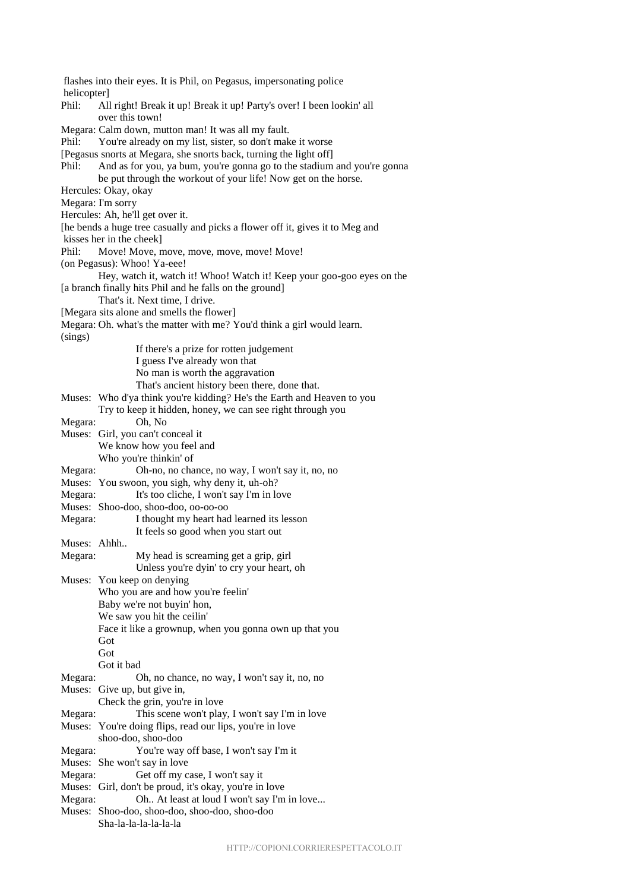flashes into their eyes. It is Phil, on Pegasus, impersonating police helicopter] Phil: All right! Break it up! Break it up! Party's over! I been lookin' all over this town! Megara: Calm down, mutton man! It was all my fault. Phil: You're already on my list, sister, so don't make it worse [Pegasus snorts at Megara, she snorts back, turning the light off] Phil: And as for you, ya bum, you're gonna go to the stadium and you're gonna be put through the workout of your life! Now get on the horse. Hercules: Okay, okay Megara: I'm sorry Hercules: Ah, he'll get over it. [he bends a huge tree casually and picks a flower off it, gives it to Meg and kisses her in the cheek] Phil: Move! Move, move, move, move, move! Move! (on Pegasus): Whoo! Ya-eee! Hey, watch it, watch it! Whoo! Watch it! Keep your goo-goo eyes on the [a branch finally hits Phil and he falls on the ground] That's it. Next time, I drive. [Megara sits alone and smells the flower] Megara: Oh. what's the matter with me? You'd think a girl would learn. (sings) If there's a prize for rotten judgement I guess I've already won that No man is worth the aggravation That's ancient history been there, done that. Muses: Who d'ya think you're kidding? He's the Earth and Heaven to you Try to keep it hidden, honey, we can see right through you Megara: Oh, No Muses: Girl, you can't conceal it We know how you feel and Who you're thinkin' of Megara: Oh-no, no chance, no way, I won't say it, no, no Muses: You swoon, you sigh, why deny it, uh-oh? Megara: It's too cliche, I won't say I'm in love Muses: Shoo-doo, shoo-doo, oo-oo-oo Megara: I thought my heart had learned its lesson It feels so good when you start out Muses: Ahhh.. Megara: My head is screaming get a grip, girl Unless you're dyin' to cry your heart, oh Muses: You keep on denying Who you are and how you're feelin' Baby we're not buyin' hon, We saw you hit the ceilin' Face it like a grownup, when you gonna own up that you Got Got Got it bad Megara: Oh, no chance, no way, I won't say it, no, no Muses: Give up, but give in, Check the grin, you're in love Megara: This scene won't play, I won't say I'm in love Muses: You're doing flips, read our lips, you're in love shoo-doo, shoo-doo Megara: You're way off base, I won't say I'm it Muses: She won't say in love Megara: Get off my case, I won't say it Muses: Girl, don't be proud, it's okay, you're in love Megara: Oh.. At least at loud I won't say I'm in love... Muses: Shoo-doo, shoo-doo, shoo-doo, shoo-doo Sha-la-la-la-la-la-la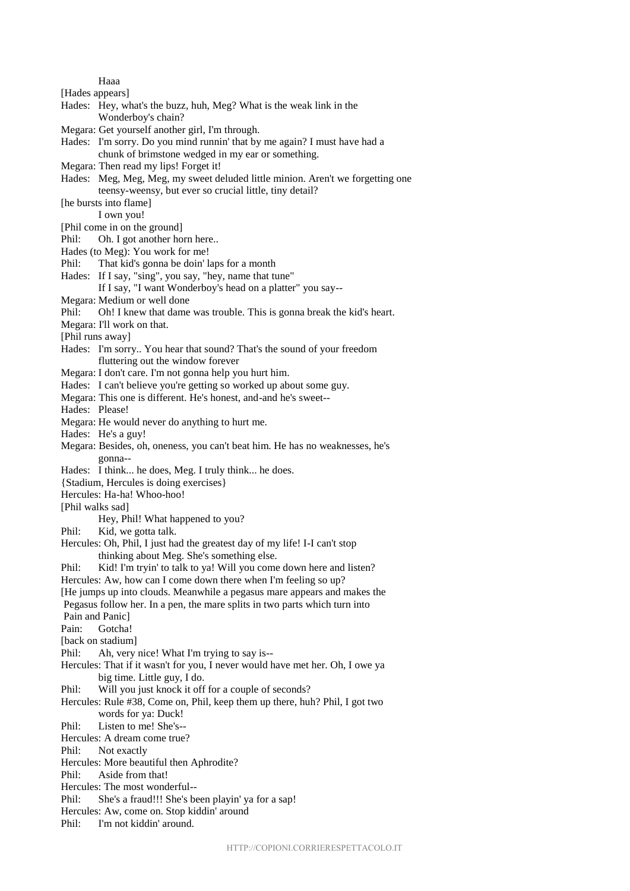Haaa [Hades appears] Hades: Hey, what's the buzz, huh, Meg? What is the weak link in the Wonderboy's chain? Megara: Get yourself another girl, I'm through. Hades: I'm sorry. Do you mind runnin' that by me again? I must have had a chunk of brimstone wedged in my ear or something. Megara: Then read my lips! Forget it! Hades: Meg, Meg, Meg, my sweet deluded little minion. Aren't we forgetting one teensy-weensy, but ever so crucial little, tiny detail? [he bursts into flame] I own you! [Phil come in on the ground] Phil: Oh. I got another horn here.. Hades (to Meg): You work for me! Phil: That kid's gonna be doin' laps for a month Hades: If I say, "sing", you say, "hey, name that tune" If I say, "I want Wonderboy's head on a platter" you say-- Megara: Medium or well done Phil: Oh! I knew that dame was trouble. This is gonna break the kid's heart. Megara: I'll work on that. [Phil runs away] Hades: I'm sorry.. You hear that sound? That's the sound of your freedom fluttering out the window forever Megara: I don't care. I'm not gonna help you hurt him. Hades: I can't believe you're getting so worked up about some guy. Megara: This one is different. He's honest, and-and he's sweet-- Hades: Please! Megara: He would never do anything to hurt me. Hades: He's a guy! Megara: Besides, oh, oneness, you can't beat him. He has no weaknesses, he's gonna-- Hades: I think... he does, Meg. I truly think... he does. {Stadium, Hercules is doing exercises} Hercules: Ha-ha! Whoo-hoo! [Phil walks sad] Hey, Phil! What happened to you? Phil: Kid, we gotta talk. Hercules: Oh, Phil, I just had the greatest day of my life! I-I can't stop thinking about Meg. She's something else. Phil: Kid! I'm tryin' to talk to ya! Will you come down here and listen? Hercules: Aw, how can I come down there when I'm feeling so up? [He jumps up into clouds. Meanwhile a pegasus mare appears and makes the Pegasus follow her. In a pen, the mare splits in two parts which turn into Pain and Panic] Pain: Gotcha! [back on stadium] Phil: Ah, very nice! What I'm trying to say is-- Hercules: That if it wasn't for you, I never would have met her. Oh, I owe ya big time. Little guy, I do. Phil: Will you just knock it off for a couple of seconds? Hercules: Rule #38, Come on, Phil, keep them up there, huh? Phil, I got two words for ya: Duck! Phil: Listen to me! She's-- Hercules: A dream come true? Phil: Not exactly Hercules: More beautiful then Aphrodite? Phil: Aside from that! Hercules: The most wonderful-- Phil: She's a fraud!!! She's been playin' ya for a sap! Hercules: Aw, come on. Stop kiddin' around

Phil: I'm not kiddin' around.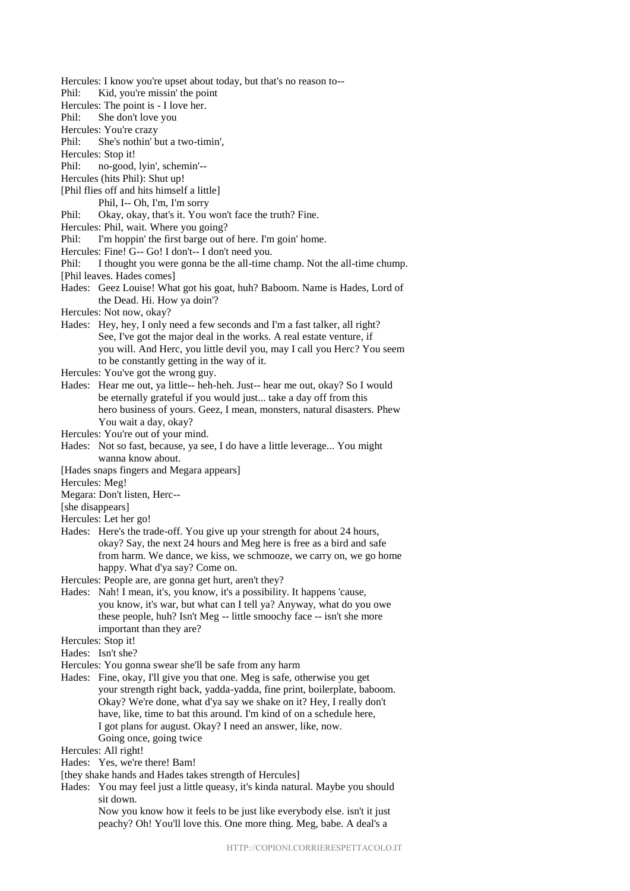Hercules: I know you're upset about today, but that's no reason to-- Phil: Kid, you're missin' the point Hercules: The point is - I love her. Phil: She don't love you Hercules: You're crazy Phil: She's nothin' but a two-timin', Hercules: Stop it! Phil: no-good, lyin', schemin'-- Hercules (hits Phil): Shut up! [Phil flies off and hits himself a little] Phil, I-- Oh, I'm, I'm sorry Phil: Okay, okay, that's it. You won't face the truth? Fine. Hercules: Phil, wait. Where you going? Phil: I'm hoppin' the first barge out of here. I'm goin' home. Hercules: Fine! G-- Go! I don't-- I don't need you. Phil: I thought you were gonna be the all-time champ. Not the all-time chump. [Phil leaves. Hades comes] Hades: Geez Louise! What got his goat, huh? Baboom. Name is Hades, Lord of the Dead. Hi. How ya doin'? Hercules: Not now, okay? Hades: Hey, hey, I only need a few seconds and I'm a fast talker, all right? See, I've got the major deal in the works. A real estate venture, if you will. And Herc, you little devil you, may I call you Herc? You seem to be constantly getting in the way of it. Hercules: You've got the wrong guy. Hades: Hear me out, ya little-- heh-heh. Just-- hear me out, okay? So I would be eternally grateful if you would just... take a day off from this hero business of yours. Geez, I mean, monsters, natural disasters. Phew You wait a day, okay? Hercules: You're out of your mind. Hades: Not so fast, because, ya see, I do have a little leverage... You might wanna know about. [Hades snaps fingers and Megara appears] Hercules: Meg! Megara: Don't listen, Herc-- [she disappears] Hercules: Let her go! Hades: Here's the trade-off. You give up your strength for about 24 hours, okay? Say, the next 24 hours and Meg here is free as a bird and safe from harm. We dance, we kiss, we schmooze, we carry on, we go home happy. What d'ya say? Come on. Hercules: People are, are gonna get hurt, aren't they? Hades: Nah! I mean, it's, you know, it's a possibility. It happens 'cause, you know, it's war, but what can I tell ya? Anyway, what do you owe these people, huh? Isn't Meg -- little smoochy face -- isn't she more important than they are? Hercules: Stop it! Hades: Isn't she? Hercules: You gonna swear she'll be safe from any harm Hades: Fine, okay, I'll give you that one. Meg is safe, otherwise you get your strength right back, yadda-yadda, fine print, boilerplate, baboom. Okay? We're done, what d'ya say we shake on it? Hey, I really don't have, like, time to bat this around. I'm kind of on a schedule here, I got plans for august. Okay? I need an answer, like, now. Going once, going twice Hercules: All right! Hades: Yes, we're there! Bam! [they shake hands and Hades takes strength of Hercules] Hades: You may feel just a little queasy, it's kinda natural. Maybe you should sit down. Now you know how it feels to be just like everybody else. isn't it just

peachy? Oh! You'll love this. One more thing. Meg, babe. A deal's a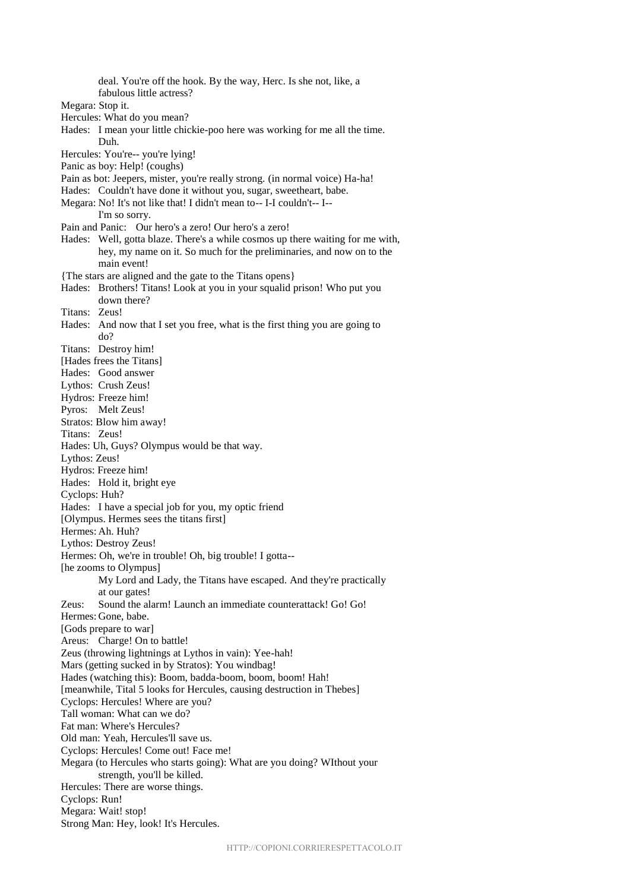deal. You're off the hook. By the way, Herc. Is she not, like, a fabulous little actress? Megara: Stop it. Hercules: What do you mean? Hades: I mean your little chickie-poo here was working for me all the time. Duh. Hercules: You're-- you're lying! Panic as boy: Help! (coughs) Pain as bot: Jeepers, mister, you're really strong. (in normal voice) Ha-ha! Hades: Couldn't have done it without you, sugar, sweetheart, babe. Megara: No! It's not like that! I didn't mean to-- I-I couldn't-- I-- I'm so sorry. Pain and Panic: Our hero's a zero! Our hero's a zero! Hades: Well, gotta blaze. There's a while cosmos up there waiting for me with, hey, my name on it. So much for the preliminaries, and now on to the main event! {The stars are aligned and the gate to the Titans opens} Hades: Brothers! Titans! Look at you in your squalid prison! Who put you down there? Titans: Zeus! Hades: And now that I set you free, what is the first thing you are going to do? Titans: Destroy him! [Hades frees the Titans] Hades: Good answer Lythos: Crush Zeus! Hydros: Freeze him! Pyros: Melt Zeus! Stratos: Blow him away! Titans: Zeus! Hades: Uh, Guys? Olympus would be that way. Lythos: Zeus! Hydros: Freeze him! Hades: Hold it, bright eye Cyclops: Huh? Hades: I have a special job for you, my optic friend [Olympus. Hermes sees the titans first] Hermes: Ah. Huh? Lythos: Destroy Zeus! Hermes: Oh, we're in trouble! Oh, big trouble! I gotta-- [he zooms to Olympus] My Lord and Lady, the Titans have escaped. And they're practically at our gates! Zeus: Sound the alarm! Launch an immediate counterattack! Go! Go! Hermes: Gone, babe. [Gods prepare to war] Areus: Charge! On to battle! Zeus (throwing lightnings at Lythos in vain): Yee-hah! Mars (getting sucked in by Stratos): You windbag! Hades (watching this): Boom, badda-boom, boom, boom! Hah! [meanwhile, Tital 5 looks for Hercules, causing destruction in Thebes] Cyclops: Hercules! Where are you? Tall woman: What can we do? Fat man: Where's Hercules? Old man: Yeah, Hercules'll save us. Cyclops: Hercules! Come out! Face me! Megara (to Hercules who starts going): What are you doing? WIthout your strength, you'll be killed. Hercules: There are worse things. Cyclops: Run! Megara: Wait! stop! Strong Man: Hey, look! It's Hercules.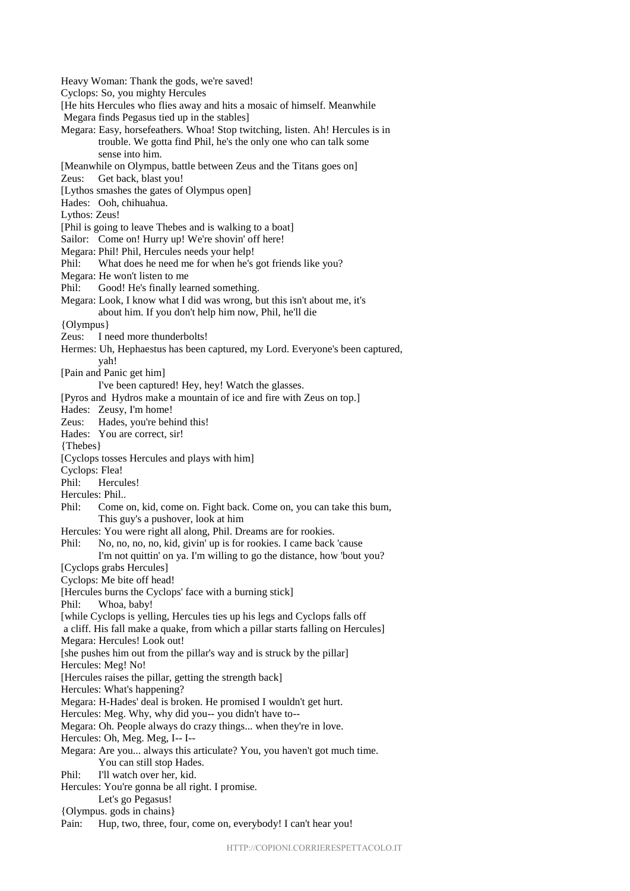Heavy Woman: Thank the gods, we're saved! Cyclops: So, you mighty Hercules [He hits Hercules who flies away and hits a mosaic of himself. Meanwhile Megara finds Pegasus tied up in the stables] Megara: Easy, horsefeathers. Whoa! Stop twitching, listen. Ah! Hercules is in trouble. We gotta find Phil, he's the only one who can talk some sense into him. [Meanwhile on Olympus, battle between Zeus and the Titans goes on] Zeus: Get back, blast you! [Lythos smashes the gates of Olympus open] Hades: Ooh, chihuahua. Lythos: Zeus! [Phil is going to leave Thebes and is walking to a boat] Sailor: Come on! Hurry up! We're shovin' off here! Megara: Phil! Phil, Hercules needs your help! Phil: What does he need me for when he's got friends like you? Megara: He won't listen to me Phil: Good! He's finally learned something. Megara: Look, I know what I did was wrong, but this isn't about me, it's about him. If you don't help him now, Phil, he'll die {Olympus} Zeus: I need more thunderbolts! Hermes: Uh, Hephaestus has been captured, my Lord. Everyone's been captured, yah! [Pain and Panic get him] I've been captured! Hey, hey! Watch the glasses. [Pyros and Hydros make a mountain of ice and fire with Zeus on top.] Hades: Zeusy, I'm home! Zeus: Hades, you're behind this! Hades: You are correct, sir! {Thebes} [Cyclops tosses Hercules and plays with him] Cyclops: Flea! Phil: Hercules! Hercules: Phil.. Phil: Come on, kid, come on. Fight back. Come on, you can take this bum, This guy's a pushover, look at him Hercules: You were right all along, Phil. Dreams are for rookies. Phil: No, no, no, no, kid, givin' up is for rookies. I came back 'cause I'm not quittin' on ya. I'm willing to go the distance, how 'bout you? [Cyclops grabs Hercules] Cyclops: Me bite off head! [Hercules burns the Cyclops' face with a burning stick] Phil: Whoa, baby! [while Cyclops is yelling, Hercules ties up his legs and Cyclops falls off a cliff. His fall make a quake, from which a pillar starts falling on Hercules] Megara: Hercules! Look out! [she pushes him out from the pillar's way and is struck by the pillar] Hercules: Meg! No! [Hercules raises the pillar, getting the strength back] Hercules: What's happening? Megara: H-Hades' deal is broken. He promised I wouldn't get hurt. Hercules: Meg. Why, why did you-- you didn't have to-- Megara: Oh. People always do crazy things... when they're in love. Hercules: Oh, Meg. Meg, I-- I-- Megara: Are you... always this articulate? You, you haven't got much time. You can still stop Hades. Phil: I'll watch over her, kid. Hercules: You're gonna be all right. I promise. Let's go Pegasus! {Olympus. gods in chains} Pain: Hup, two, three, four, come on, everybody! I can't hear you!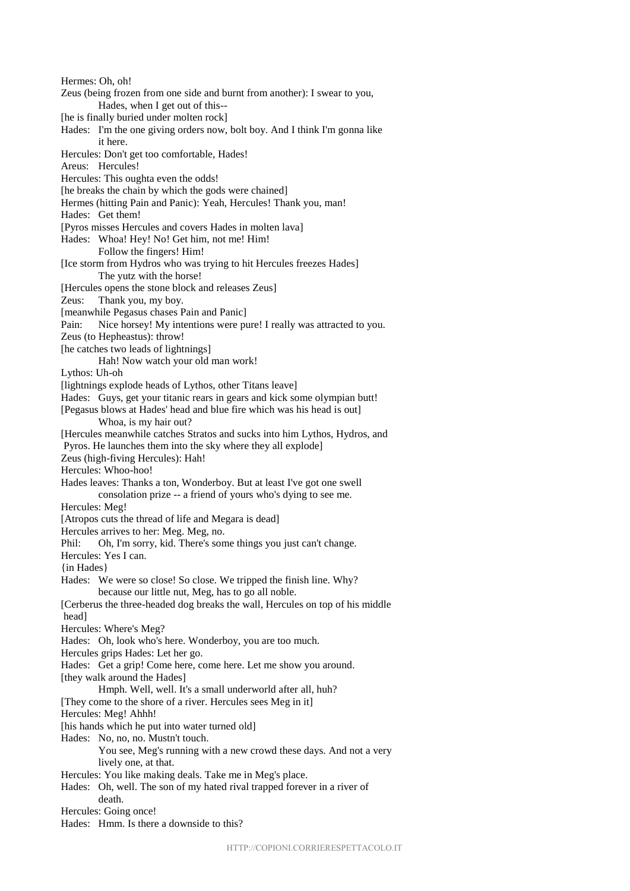Hermes: Oh, oh! Zeus (being frozen from one side and burnt from another): I swear to you, Hades, when I get out of this-- [he is finally buried under molten rock] Hades: I'm the one giving orders now, bolt boy. And I think I'm gonna like it here. Hercules: Don't get too comfortable, Hades! Areus: Hercules! Hercules: This oughta even the odds! [he breaks the chain by which the gods were chained] Hermes (hitting Pain and Panic): Yeah, Hercules! Thank you, man! Hades: Get them! [Pyros misses Hercules and covers Hades in molten lava] Hades: Whoa! Hey! No! Get him, not me! Him! Follow the fingers! Him! [Ice storm from Hydros who was trying to hit Hercules freezes Hades] The yutz with the horse! [Hercules opens the stone block and releases Zeus] Zeus: Thank you, my boy. [meanwhile Pegasus chases Pain and Panic] Pain: Nice horsey! My intentions were pure! I really was attracted to you. Zeus (to Hepheastus): throw! [he catches two leads of lightnings] Hah! Now watch your old man work! Lythos: Uh-oh [lightnings explode heads of Lythos, other Titans leave] Hades: Guys, get your titanic rears in gears and kick some olympian butt! [Pegasus blows at Hades' head and blue fire which was his head is out] Whoa, is my hair out? [Hercules meanwhile catches Stratos and sucks into him Lythos, Hydros, and Pyros. He launches them into the sky where they all explode] Zeus (high-fiving Hercules): Hah! Hercules: Whoo-hoo! Hades leaves: Thanks a ton, Wonderboy. But at least I've got one swell consolation prize -- a friend of yours who's dying to see me. Hercules: Meg! [Atropos cuts the thread of life and Megara is dead] Hercules arrives to her: Meg. Meg, no. Phil: Oh, I'm sorry, kid. There's some things you just can't change. Hercules: Yes I can. {in Hades} Hades: We were so close! So close. We tripped the finish line. Why? because our little nut, Meg, has to go all noble. [Cerberus the three-headed dog breaks the wall, Hercules on top of his middle head] Hercules: Where's Meg? Hades: Oh, look who's here. Wonderboy, you are too much. Hercules grips Hades: Let her go. Hades: Get a grip! Come here, come here. Let me show you around. [they walk around the Hades] Hmph. Well, well. It's a small underworld after all, huh? [They come to the shore of a river. Hercules sees Meg in it] Hercules: Meg! Ahhh! [his hands which he put into water turned old] Hades: No, no, no. Mustn't touch. You see, Meg's running with a new crowd these days. And not a very lively one, at that. Hercules: You like making deals. Take me in Meg's place. Hades: Oh, well. The son of my hated rival trapped forever in a river of death. Hercules: Going once! Hades: Hmm. Is there a downside to this?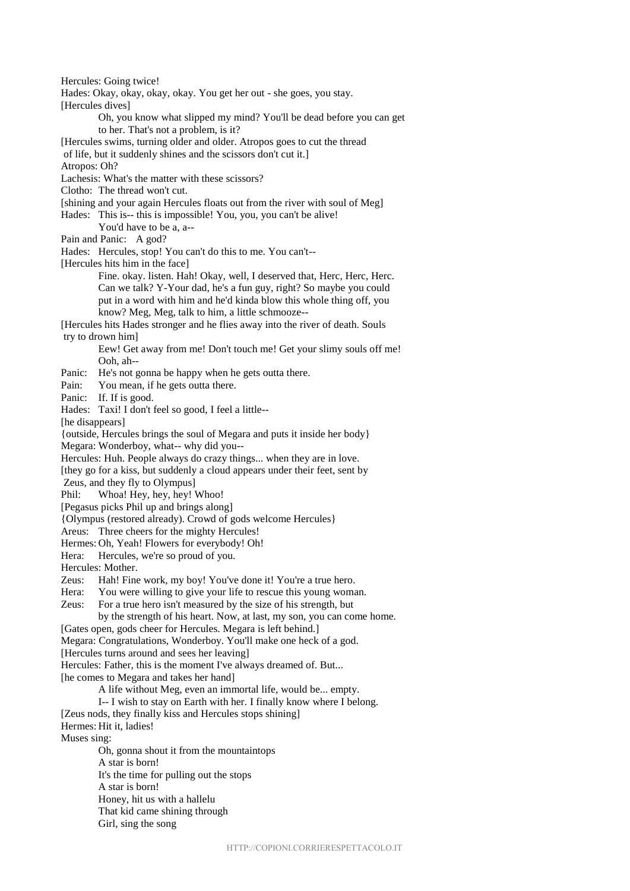Hercules: Going twice!

Hades: Okay, okay, okay, okay. You get her out - she goes, you stay. [Hercules dives]

> Oh, you know what slipped my mind? You'll be dead before you can get to her. That's not a problem, is it?

[Hercules swims, turning older and older. Atropos goes to cut the thread

of life, but it suddenly shines and the scissors don't cut it.]

Atropos: Oh?

Lachesis: What's the matter with these scissors?

Clotho: The thread won't cut.

[shining and your again Hercules floats out from the river with soul of Meg]

Hades: This is-- this is impossible! You, you, you can't be alive!

You'd have to be a, a--

Pain and Panic: A god?

Hades: Hercules, stop! You can't do this to me. You can't--

[Hercules hits him in the face]

Fine. okay. listen. Hah! Okay, well, I deserved that, Herc, Herc, Herc. Can we talk? Y-Your dad, he's a fun guy, right? So maybe you could put in a word with him and he'd kinda blow this whole thing off, you know? Meg, Meg, talk to him, a little schmooze--

[Hercules hits Hades stronger and he flies away into the river of death. Souls try to drown him]

> Eew! Get away from me! Don't touch me! Get your slimy souls off me! Ooh, ah--

Panic: He's not gonna be happy when he gets outta there.

Pain: You mean, if he gets outta there.

Panic: If. If is good.

Hades: Taxi! I don't feel so good, I feel a little--

[he disappears]

{outside, Hercules brings the soul of Megara and puts it inside her body}

Megara: Wonderboy, what-- why did you--

Hercules: Huh. People always do crazy things... when they are in love.

[they go for a kiss, but suddenly a cloud appears under their feet, sent by

Zeus, and they fly to Olympus]

Phil: Whoa! Hey, hey, hey! Whoo!

[Pegasus picks Phil up and brings along]

{Olympus (restored already). Crowd of gods welcome Hercules}

Areus: Three cheers for the mighty Hercules!

Hermes: Oh, Yeah! Flowers for everybody! Oh!

Hera: Hercules, we're so proud of you.

Hercules: Mother.

Zeus: Hah! Fine work, my boy! You've done it! You're a true hero.

Hera: You were willing to give your life to rescue this young woman.

Zeus: For a true hero isn't measured by the size of his strength, but

by the strength of his heart. Now, at last, my son, you can come home.

[Gates open, gods cheer for Hercules. Megara is left behind.]

Megara: Congratulations, Wonderboy. You'll make one heck of a god.

[Hercules turns around and sees her leaving]

Hercules: Father, this is the moment I've always dreamed of. But...

[he comes to Megara and takes her hand]

A life without Meg, even an immortal life, would be... empty.

I-- I wish to stay on Earth with her. I finally know where I belong.

[Zeus nods, they finally kiss and Hercules stops shining]

Hermes: Hit it, ladies!

Muses sing:

Oh, gonna shout it from the mountaintops A star is born! It's the time for pulling out the stops A star is born! Honey, hit us with a hallelu That kid came shining through Girl, sing the song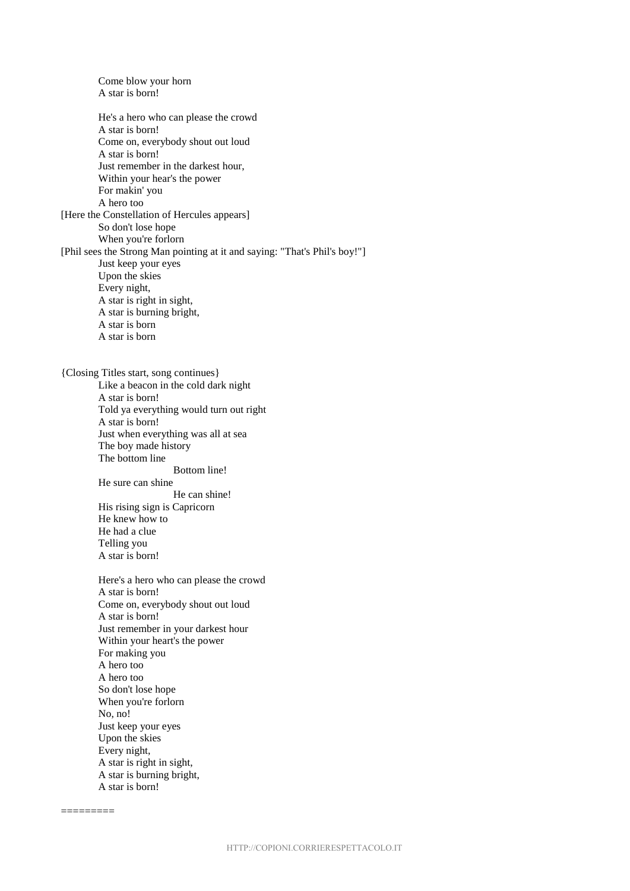Come blow your horn A star is born! He's a hero who can please the crowd A star is born! Come on, everybody shout out loud A star is born! Just remember in the darkest hour, Within your hear's the power For makin' you A hero too [Here the Constellation of Hercules appears] So don't lose hope When you're forlorn [Phil sees the Strong Man pointing at it and saying: "That's Phil's boy!"] Just keep your eyes Upon the skies Every night, A star is right in sight, A star is burning bright, A star is born A star is born {Closing Titles start, song continues} Like a beacon in the cold dark night A star is born! Told ya everything would turn out right A star is born! Just when everything was all at sea The boy made history The bottom line Bottom line! He sure can shine He can shine! His rising sign is Capricorn He knew how to He had a clue Telling you A star is born! Here's a hero who can please the crowd A star is born! Come on, everybody shout out loud A star is born! Just remember in your darkest hour Within your heart's the power For making you A hero too A hero too So don't lose hope When you're forlorn No, no! Just keep your eyes Upon the skies Every night, A star is right in sight, A star is burning bright, A star is born!

=========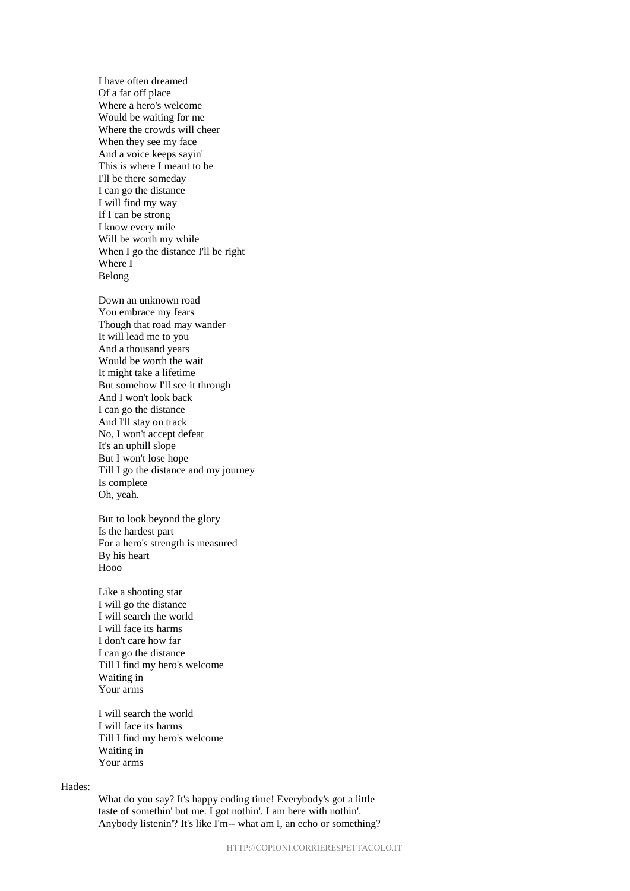I have often dreamed Of a far off place Where a hero's welcome Would be waiting for me Where the crowds will cheer When they see my face And a voice keeps sayin' This is where I meant to be I'll be there someday I can go the distance I will find my way If I can be strong I know every mile Will be worth my while When I go the distance I'll be right Where I Belong

Down an unknown road You embrace my fears Though that road may wander It will lead me to you And a thousand years Would be worth the wait It might take a lifetime But somehow I'll see it through And I won't look back I can go the distance And I'll stay on track No, I won't accept defeat It's an uphill slope But I won't lose hope Till I go the distance and my journey Is complete Oh, yeah.

But to look beyond the glory Is the hardest part For a hero's strength is measured By his heart Hooo

Like a shooting star I will go the distance I will search the world I will face its harms I don't care how far I can go the distance Till I find my hero's welcome Waiting in Your arms

I will search the world I will face its harms Till I find my hero's welcome Waiting in Your arms

## Hades:

What do you say? It's happy ending time! Everybody's got a little taste of somethin' but me. I got nothin'. I am here with nothin'. Anybody listenin'? It's like I'm-- what am I, an echo or something?